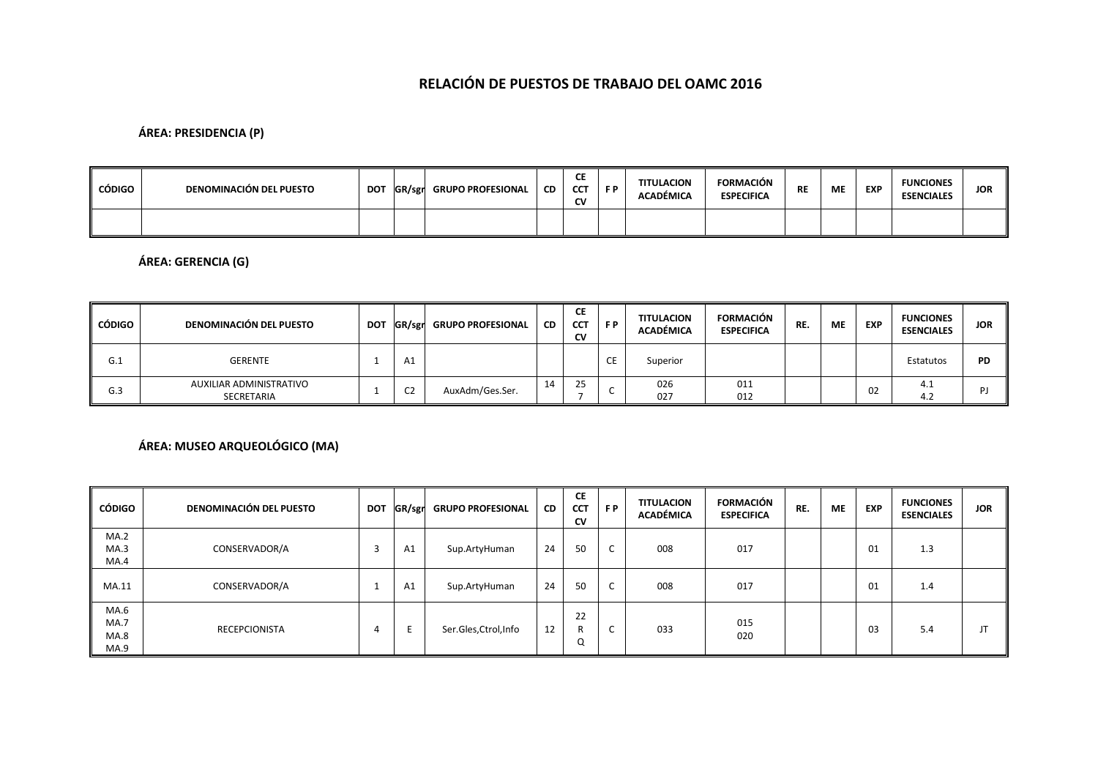# **RELACIÓN DE PUESTOS DE TRABAJO DEL OAMC 2016**

### **ÁREA: PRESIDENCIA (P)**

| CÓDIGO | DENOMINACIÓN DEL PUESTO | <b>DOT</b> | <b>GR/sgr</b> GRUPO PROFESIONAL | <b>CD</b> | СE<br>CCT<br><b>CV</b> | F P | TITULACION<br><b>ACADÉMICA</b> | FORMACIÓN<br><b>ESPECIFICA</b> | <b>RE</b> | ME | <b>EXP</b> | <b>FUNCIONES</b><br><b>ESENCIALES</b> | <b>JOR</b> |
|--------|-------------------------|------------|---------------------------------|-----------|------------------------|-----|--------------------------------|--------------------------------|-----------|----|------------|---------------------------------------|------------|
|        |                         |            |                                 |           |                        |     |                                |                                |           |    |            |                                       |            |

### **ÁREA: GERENCIA (G)**

| CÓDIGO | DENOMINACIÓN DEL PUESTO               | <b>DOT</b> |                | <b>GR/sgr</b> GRUPO PROFESIONAL | <b>CD</b> | СE<br><b>CCT</b><br>CV | F P         | <b>TITULACION</b><br>ACADÉMICA | <b>FORMACIÓN</b><br><b>ESPECIFICA</b> | RE. | ME | <b>EXP</b> | <b>FUNCIONES</b><br><b>ESENCIALES</b> | <b>JOR</b> |
|--------|---------------------------------------|------------|----------------|---------------------------------|-----------|------------------------|-------------|--------------------------------|---------------------------------------|-----|----|------------|---------------------------------------|------------|
| G.1    | GERENTE                               |            | Aì             |                                 |           |                        | $\sim$<br>ᄔ | Superior                       |                                       |     |    |            | Estatutos                             | <b>PD</b>  |
| G.3    | AUXILIAR ADMINISTRATIVO<br>SECRETARIA |            | C <sub>2</sub> | AuxAdm/Ges.Ser.                 | 14        | 25                     |             | 026<br>027                     | 011<br>012                            |     |    | 02         | 4.1<br>4.2                            | D I        |

## **ÁREA: MUSEO ARQUEOLÓGICO (MA)**

| <b>CÓDIGO</b>                | <b>DENOMINACIÓN DEL PUESTO</b> | <b>DOT</b> | GR/sgr | <b>GRUPO PROFESIONAL</b> | CD | <b>CE</b><br><b>CCT</b><br><b>CV</b> | FP.                           | <b>TITULACION</b><br><b>ACADÉMICA</b> | <b>FORMACIÓN</b><br><b>ESPECIFICA</b> | RE. | ME | <b>EXP</b> | <b>FUNCIONES</b><br><b>ESENCIALES</b> | <b>JOR</b> |
|------------------------------|--------------------------------|------------|--------|--------------------------|----|--------------------------------------|-------------------------------|---------------------------------------|---------------------------------------|-----|----|------------|---------------------------------------|------------|
| MA.2<br>MA.3<br>MA.4         | CONSERVADOR/A                  | -5         | A1     | Sup.ArtyHuman            | 24 | 50                                   | $\sim$<br>◡                   | 008                                   | 017                                   |     |    | 01         | 1.3                                   |            |
| MA.11                        | CONSERVADOR/A                  | - 1        | A1     | Sup.ArtyHuman            | 24 | 50                                   | $\overline{\phantom{0}}$<br>◡ | 008                                   | 017                                   |     |    | 01         | 1.4                                   |            |
| MA.6<br>MA.7<br>MA.8<br>MA.9 | <b>RECEPCIONISTA</b>           | 4          |        | Ser.Gles, Ctrol, Info    | 12 | 22<br>Q                              | ◡                             | 033                                   | 015<br>020                            |     |    | 03         | 5.4                                   | Л          |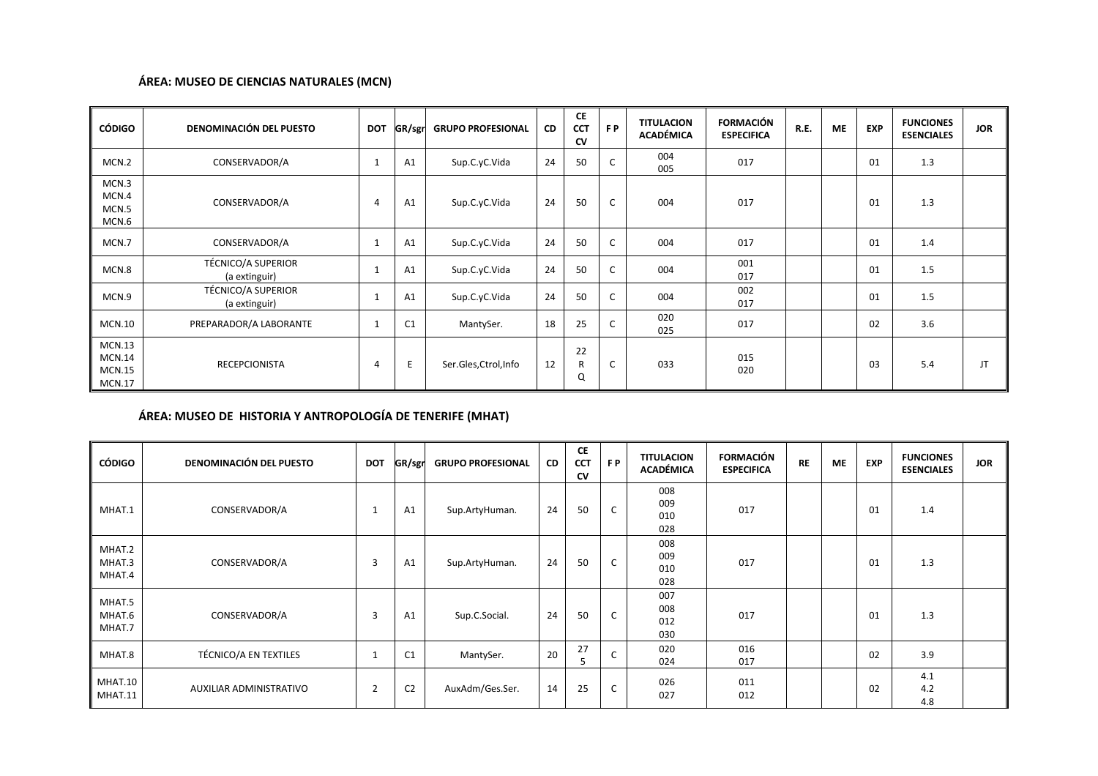### **ÁREA: MUSEO DE CIENCIAS NATURALES (MCN)**

| <b>CÓDIGO</b>                                      | <b>DENOMINACIÓN DEL PUESTO</b>             | <b>DOT</b>   | GR/sgr | <b>GRUPO PROFESIONAL</b> | <b>CD</b> | <b>CE</b><br><b>CCT</b><br><b>CV</b> | F P | <b>TITULACION</b><br><b>ACADÉMICA</b> | <b>FORMACIÓN</b><br><b>ESPECIFICA</b> | R.E. | <b>ME</b> | <b>EXP</b> | <b>FUNCIONES</b><br><b>ESENCIALES</b> | <b>JOR</b> |
|----------------------------------------------------|--------------------------------------------|--------------|--------|--------------------------|-----------|--------------------------------------|-----|---------------------------------------|---------------------------------------|------|-----------|------------|---------------------------------------|------------|
| MCN.2                                              | CONSERVADOR/A                              | $\mathbf{1}$ | A1     | Sup.C.yC.Vida            | 24        | 50                                   | C   | 004<br>005                            | 017                                   |      |           | 01         | 1.3                                   |            |
| MCN.3<br>MCN.4<br>MCN.5<br>MCN.6                   | CONSERVADOR/A                              | 4            | A1     | Sup.C.yC.Vida            | 24        | 50                                   | C   | 004                                   | 017                                   |      |           | 01         | 1.3                                   |            |
| MCN.7                                              | CONSERVADOR/A                              | $\mathbf{1}$ | A1     | Sup.C.yC.Vida            | 24        | 50                                   | c   | 004                                   | 017                                   |      |           | 01         | 1.4                                   |            |
| MCN.8                                              | <b>TÉCNICO/A SUPERIOR</b><br>(a extinguir) |              | A1     | Sup.C.yC.Vida            | 24        | 50                                   | C   | 004                                   | 001<br>017                            |      |           | 01         | 1.5                                   |            |
| MCN.9                                              | <b>TÉCNICO/A SUPERIOR</b><br>(a extinguir) |              | A1     | Sup.C.yC.Vida            | 24        | 50                                   | C   | 004                                   | 002<br>017                            |      |           | 01         | 1.5                                   |            |
| <b>MCN.10</b>                                      | PREPARADOR/A LABORANTE                     |              | C1     | MantySer.                | 18        | 25                                   | C   | 020<br>025                            | 017                                   |      |           | 02         | 3.6                                   |            |
| MCN.13<br>MCN.14<br><b>MCN.15</b><br><b>MCN.17</b> | RECEPCIONISTA                              | 4            | E      | Ser.Gles, Ctrol, Info    | 12        | 22<br>R<br>Q                         | C   | 033                                   | 015<br>020                            |      |           | 03         | 5.4                                   | JT         |

### **ÁREA: MUSEO DE HISTORIA Y ANTROPOLOGÍA DE TENERIFE (MHAT)**

| <b>CÓDIGO</b>              | <b>DENOMINACIÓN DEL PUESTO</b> | <b>DOT</b>     | GR/sgr         | <b>GRUPO PROFESIONAL</b> | CD | <b>CE</b><br><b>CCT</b><br><b>CV</b> | FP. | <b>TITULACION</b><br><b>ACADÉMICA</b> | <b>FORMACIÓN</b><br><b>ESPECIFICA</b> | <b>RE</b> | <b>ME</b> | <b>EXP</b> | <b>FUNCIONES</b><br><b>ESENCIALES</b> | <b>JOR</b> |
|----------------------------|--------------------------------|----------------|----------------|--------------------------|----|--------------------------------------|-----|---------------------------------------|---------------------------------------|-----------|-----------|------------|---------------------------------------|------------|
| MHAT.1                     | CONSERVADOR/A                  | $\mathbf{1}$   | A1             | Sup.ArtyHuman.           | 24 | 50                                   | C   | 008<br>009<br>010<br>028              | 017                                   |           |           | 01         | 1.4                                   |            |
| MHAT.2<br>MHAT.3<br>MHAT.4 | CONSERVADOR/A                  | 3              | A1             | Sup.ArtyHuman.           | 24 | 50                                   | C   | 008<br>009<br>010<br>028              | 017                                   |           |           | 01         | 1.3                                   |            |
| MHAT.5<br>MHAT.6<br>MHAT.7 | CONSERVADOR/A                  | 3              | A1             | Sup.C.Social.            | 24 | 50                                   | C   | 007<br>008<br>012<br>030              | 017                                   |           |           | 01         | 1.3                                   |            |
| MHAT.8                     | TÉCNICO/A EN TEXTILES          | $\mathbf{1}$   | C1             | MantySer.                | 20 | 27<br>5                              | C   | 020<br>024                            | 016<br>017                            |           |           | 02         | 3.9                                   |            |
| MHAT.10<br>MHAT.11         | AUXILIAR ADMINISTRATIVO        | $\overline{2}$ | C <sub>2</sub> | AuxAdm/Ges.Ser.          | 14 | 25                                   | C   | 026<br>027                            | 011<br>012                            |           |           | 02         | 4.1<br>4.2<br>4.8                     |            |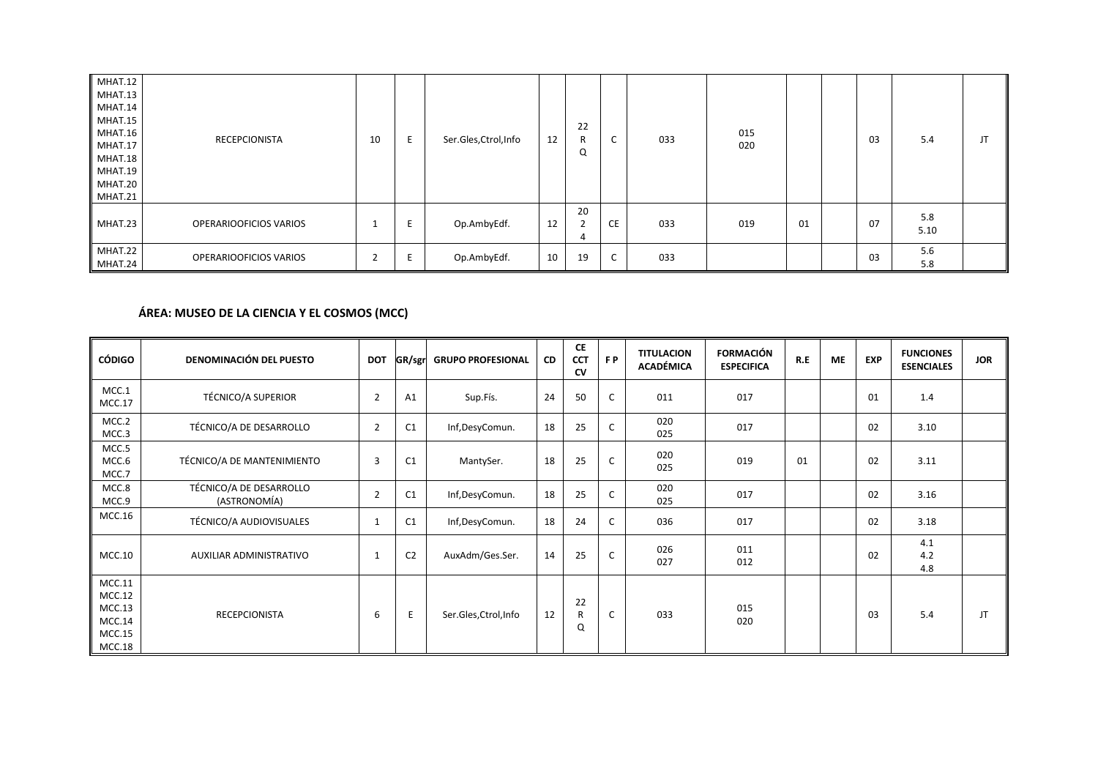| MHAT.12<br>MHAT.13<br>MHAT.14<br>MHAT.15<br>MHAT.16<br>MHAT.17<br>MHAT.18<br>MHAT.19<br>MHAT.20<br>MHAT.21 | <b>RECEPCIONISTA</b>   | 10 | E | Ser.Gles, Ctrol, Info | 12 | 22<br>R<br>Q              | ◡                             | 033 | 015<br>020 |    | 03 | 5.4         | JT |
|------------------------------------------------------------------------------------------------------------|------------------------|----|---|-----------------------|----|---------------------------|-------------------------------|-----|------------|----|----|-------------|----|
| MHAT.23                                                                                                    | OPERARIOOFICIOS VARIOS | J. |   | Op.AmbyEdf.           | 12 | 20<br>$\overline{2}$<br>4 | <b>CE</b>                     | 033 | 019        | 01 | 07 | 5.8<br>5.10 |    |
| MHAT.22<br>MHAT.24                                                                                         | OPERARIOOFICIOS VARIOS | ے  |   | Op.AmbyEdf.           | 10 | 19                        | $\overline{\phantom{0}}$<br>◡ | 033 |            |    | 03 | 5.6<br>5.8  |    |

### **ÁREA: MUSEO DE LA CIENCIA Y EL COSMOS (MCC)**

| <b>CÓDIGO</b>                                            | <b>DENOMINACIÓN DEL PUESTO</b>          | <b>DOT</b>     | GR/sgr         | <b>GRUPO PROFESIONAL</b> | CD | CE<br><b>CCT</b><br><b>CV</b> | FP. | <b>TITULACION</b><br><b>ACADÉMICA</b> | <b>FORMACIÓN</b><br><b>ESPECIFICA</b> | R.E | ME | <b>EXP</b> | <b>FUNCIONES</b><br><b>ESENCIALES</b> | <b>JOR</b> |
|----------------------------------------------------------|-----------------------------------------|----------------|----------------|--------------------------|----|-------------------------------|-----|---------------------------------------|---------------------------------------|-----|----|------------|---------------------------------------|------------|
| MCC.1<br>MCC.17                                          | <b>TÉCNICO/A SUPERIOR</b>               | $\overline{2}$ | A1             | Sup.Fís.                 | 24 | 50                            | C   | 011                                   | 017                                   |     |    | 01         | 1.4                                   |            |
| MCC.2<br>MCC.3                                           | TÉCNICO/A DE DESARROLLO                 | $\overline{2}$ | C1             | Inf,DesyComun.           | 18 | 25                            | C   | 020<br>025                            | 017                                   |     |    | 02         | 3.10                                  |            |
| MCC.5<br>MCC.6<br>MCC.7                                  | TÉCNICO/A DE MANTENIMIENTO              | $\overline{3}$ | C1             | MantySer.                | 18 | 25                            | C   | 020<br>025                            | 019                                   | 01  |    | 02         | 3.11                                  |            |
| MCC.8<br>MCC.9                                           | TÉCNICO/A DE DESARROLLO<br>(ASTRONOMÍA) | $\overline{2}$ | C1             | Inf,DesyComun.           | 18 | 25                            | C   | 020<br>025                            | 017                                   |     |    | 02         | 3.16                                  |            |
| MCC.16                                                   | TÉCNICO/A AUDIOVISUALES                 | 1              | C1             | Inf,DesyComun.           | 18 | 24                            | С   | 036                                   | 017                                   |     |    | 02         | 3.18                                  |            |
| MCC.10                                                   | AUXILIAR ADMINISTRATIVO                 | 1              | C <sub>2</sub> | AuxAdm/Ges.Ser.          | 14 | 25                            | c   | 026<br>027                            | 011<br>012                            |     |    | 02         | 4.1<br>4.2<br>4.8                     |            |
| MCC.11<br>MCC.12<br>MCC.13<br>MCC.14<br>MCC.15<br>MCC.18 | <b>RECEPCIONISTA</b>                    | 6              | E              | Ser.Gles, Ctrol, Info    | 12 | 22<br>R<br>Q                  | C   | 033                                   | 015<br>020                            |     |    | 03         | 5.4                                   | JT         |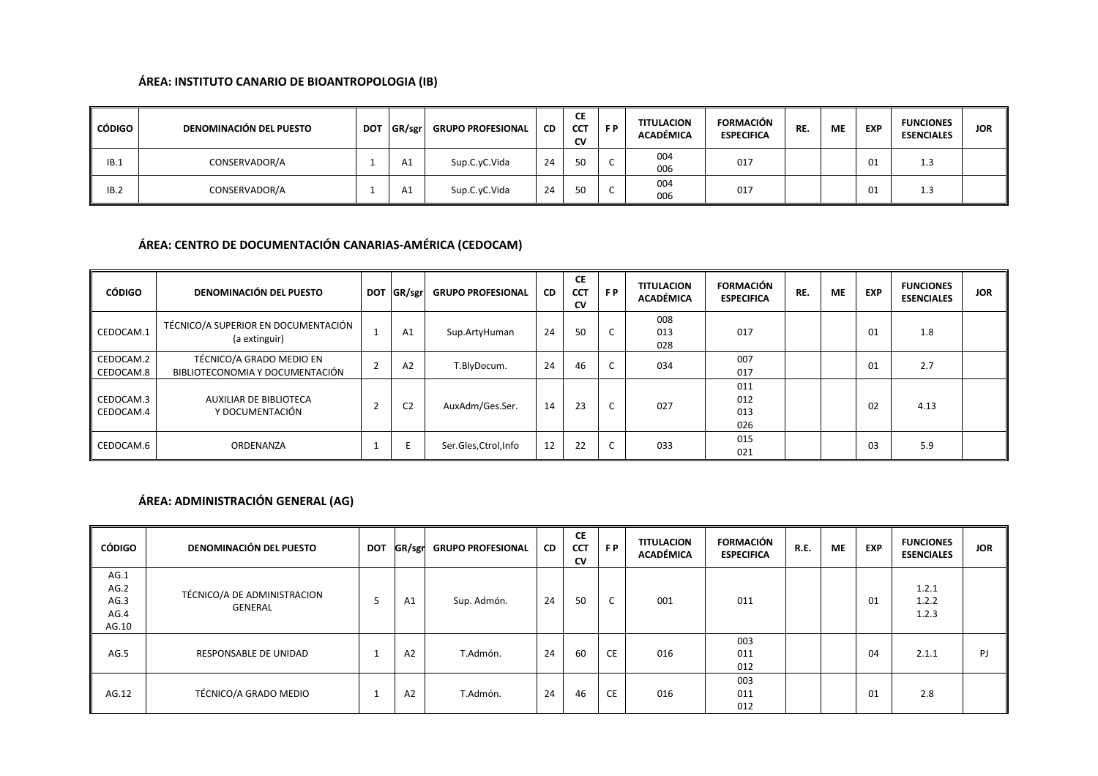### **ÁREA: INSTITUTO CANARIO DE BIOANTROPOLOGIA (IB)**

| CÓDIGO | <b>DENOMINACIÓN DEL PUESTO</b> | <b>DOT</b> | GR/sgr | <b>GRUPO PROFESIONAL</b> | <b>CD</b> | <b>CE</b><br><b>CCT</b><br>CV | F P | <b>TITULACION</b><br>ACADÉMICA | <b>FORMACIÓN</b><br><b>ESPECIFICA</b> | RE. | <b>ME</b> | <b>EXP</b> | <b>FUNCIONES</b><br><b>ESENCIALES</b> | <b>JOR</b> |
|--------|--------------------------------|------------|--------|--------------------------|-----------|-------------------------------|-----|--------------------------------|---------------------------------------|-----|-----------|------------|---------------------------------------|------------|
| IB.1   | CONSERVADOR/A                  |            | A1     | Sup.C.yC.Vida            | 24        | 50                            |     | 004<br>006                     | 017                                   |     |           | 01         | 1.3                                   |            |
| IB.2   | CONSERVADOR/A                  |            | A1     | Sup.C.yC.Vida            | 24        | 50                            |     | 004<br>006                     | 017                                   |     |           | 01         | 1.3                                   |            |

## **ÁREA: CENTRO DE DOCUMENTACIÓN CANARIAS-AMÉRICA (CEDOCAM)**

| CÓDIGO                 | <b>DENOMINACIÓN DEL PUESTO</b>                              | <b>DOT</b> | GR/sgr         | <b>GRUPO PROFESIONAL</b> | <b>CD</b> | <b>CE</b><br><b>CCT</b><br><b>CV</b> | FP. | <b>TITULACION</b><br><b>ACADÉMICA</b> | <b>FORMACIÓN</b><br><b>ESPECIFICA</b> | RE. | <b>ME</b> | <b>EXP</b> | <b>FUNCIONES</b><br><b>ESENCIALES</b> | <b>JOR</b> |
|------------------------|-------------------------------------------------------------|------------|----------------|--------------------------|-----------|--------------------------------------|-----|---------------------------------------|---------------------------------------|-----|-----------|------------|---------------------------------------|------------|
| CEDOCAM.1              | TÉCNICO/A SUPERIOR EN DOCUMENTACIÓN<br>(a extinguir)        |            | A1             | Sup.ArtyHuman            | 24        | 50                                   |     | 008<br>013<br>028                     | 017                                   |     |           | 01         | 1.8                                   |            |
| CEDOCAM.2<br>CEDOCAM.8 | TÉCNICO/A GRADO MEDIO EN<br>BIBLIOTECONOMIA Y DOCUMENTACIÓN |            | A2             | T.BlyDocum.              | 24        | 46                                   |     | 034                                   | 007<br>017                            |     |           | 01         | 2.7                                   |            |
| CEDOCAM.3<br>CEDOCAM.4 | AUXILIAR DE BIBLIOTECA<br>Y DOCUMENTACIÓN                   |            | C <sub>2</sub> | AuxAdm/Ges.Ser.          | 14        | 23                                   |     | 027                                   | 011<br>012<br>013<br>026              |     |           | 02         | 4.13                                  |            |
| CEDOCAM.6              | ORDENANZA                                                   |            |                | Ser.Gles, Ctrol, Info    | 12        | 22                                   |     | 033                                   | 015<br>021                            |     |           | 03         | 5.9                                   |            |

## **ÁREA: ADMINISTRACIÓN GENERAL (AG)**

| CÓDIGO                                | <b>DENOMINACIÓN DEL PUESTO</b>         | <b>DOT</b> |                | GR/sgr GRUPO PROFESIONAL | CD | <b>CE</b><br><b>CCT</b><br><b>CV</b> | FP. | <b>TITULACION</b><br><b>ACADÉMICA</b> | <b>FORMACIÓN</b><br><b>ESPECIFICA</b> | R.E. | МE | <b>EXP</b> | <b>FUNCIONES</b><br><b>ESENCIALES</b> | <b>JOR</b> |
|---------------------------------------|----------------------------------------|------------|----------------|--------------------------|----|--------------------------------------|-----|---------------------------------------|---------------------------------------|------|----|------------|---------------------------------------|------------|
| AG.1<br>AG.2<br>AG.3<br>AG.4<br>AG.10 | TÉCNICO/A DE ADMINISTRACION<br>GENERAL |            | A1             | Sup. Admón.              | 24 | 50                                   | C   | 001                                   | 011                                   |      |    | 01         | 1.2.1<br>1.2.2<br>1.2.3               |            |
| AG.5                                  | RESPONSABLE DE UNIDAD                  |            | A <sub>2</sub> | T.Admón.                 | 24 | 60                                   | CE  | 016                                   | 003<br>011<br>012                     |      |    | 04         | 2.1.1                                 | PJ         |
| AG.12                                 | TÉCNICO/A GRADO MEDIO                  |            | A <sub>2</sub> | T.Admón.                 | 24 | 46                                   | CE  | 016                                   | 003<br>011<br>012                     |      |    | 01         | 2.8                                   |            |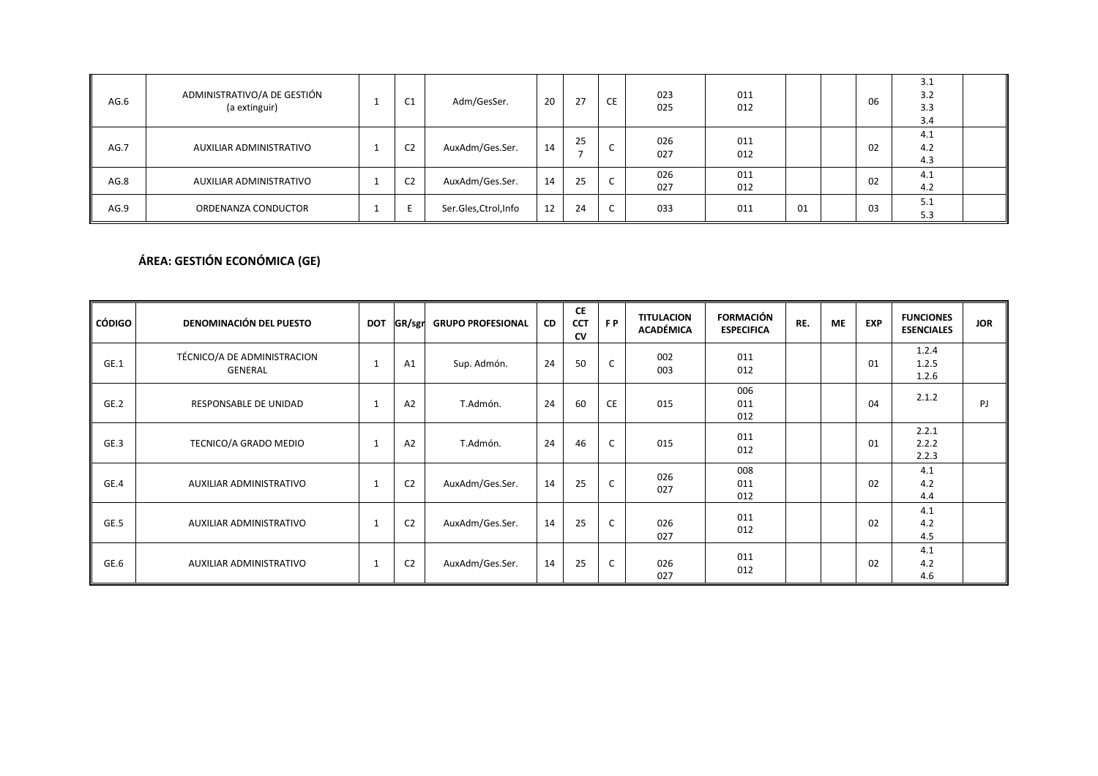| AG.6 | ADMINISTRATIVO/A DE GESTIÓN<br>(a extinguir) | C1             | Adm/GesSer.           | 20 | 27 | CE | 023<br>025 | 011<br>012 |    | 06 | 3.1<br>3.2<br>3.3<br>3.4 |  |
|------|----------------------------------------------|----------------|-----------------------|----|----|----|------------|------------|----|----|--------------------------|--|
| AG.7 | AUXILIAR ADMINISTRATIVO                      | C <sub>2</sub> | AuxAdm/Ges.Ser.       | 14 | 25 |    | 026<br>027 | 011<br>012 |    | 02 | 4.1<br>4.2<br>4.3        |  |
| AG.8 | AUXILIAR ADMINISTRATIVO                      | C <sub>2</sub> | AuxAdm/Ges.Ser.       | 14 | 25 |    | 026<br>027 | 011<br>012 |    | 02 | 4.1<br>4.2               |  |
| AG.9 | ORDENANZA CONDUCTOR                          |                | Ser.Gles, Ctrol, Info | 12 | 24 | ╰  | 033        | 011        | 01 | 03 | 5.1<br>5.3               |  |

# **ÁREA: GESTIÓN ECONÓMICA (GE)**

| <b>CÓDIGO</b> | <b>DENOMINACIÓN DEL PUESTO</b>         | <b>DOT</b>   | GR/sgr         | <b>GRUPO PROFESIONAL</b> | <b>CD</b> | <b>CE</b><br><b>CCT</b><br><b>CV</b> | FP. | <b>TITULACION</b><br><b>ACADÉMICA</b> | <b>FORMACIÓN</b><br><b>ESPECIFICA</b> | RE. | <b>ME</b> | <b>EXP</b> | <b>FUNCIONES</b><br><b>ESENCIALES</b> | <b>JOR</b> |
|---------------|----------------------------------------|--------------|----------------|--------------------------|-----------|--------------------------------------|-----|---------------------------------------|---------------------------------------|-----|-----------|------------|---------------------------------------|------------|
| GE.1          | TÉCNICO/A DE ADMINISTRACION<br>GENERAL | $\mathbf{1}$ | A1             | Sup. Admón.              | 24        | 50                                   | C   | 002<br>003                            | 011<br>012                            |     |           | 01         | 1.2.4<br>1.2.5<br>1.2.6               |            |
| GE.2          | RESPONSABLE DE UNIDAD                  | $\mathbf{1}$ | A <sub>2</sub> | T.Admón.                 | 24        | 60                                   | CE  | 015                                   | 006<br>011<br>012                     |     |           | 04         | 2.1.2                                 | PJ         |
| GE.3          | TECNICO/A GRADO MEDIO                  | $\mathbf{1}$ | A2             | T.Admón.                 | 24        | 46                                   | C   | 015                                   | 011<br>012                            |     |           | 01         | 2.2.1<br>2.2.2<br>2.2.3               |            |
| GE.4          | AUXILIAR ADMINISTRATIVO                | $\mathbf{1}$ | C <sub>2</sub> | AuxAdm/Ges.Ser.          | 14        | 25                                   | C   | 026<br>027                            | 008<br>011<br>012                     |     |           | 02         | 4.1<br>4.2<br>4.4                     |            |
| GE.5          | AUXILIAR ADMINISTRATIVO                | $\mathbf{1}$ | C <sub>2</sub> | AuxAdm/Ges.Ser.          | 14        | 25                                   | C   | 026<br>027                            | 011<br>012                            |     |           | 02         | 4.1<br>4.2<br>4.5                     |            |
| GE.6          | AUXILIAR ADMINISTRATIVO                | $\mathbf{1}$ | C <sub>2</sub> | AuxAdm/Ges.Ser.          | 14        | 25                                   | C   | 026<br>027                            | 011<br>012                            |     |           | 02         | 4.1<br>4.2<br>4.6                     |            |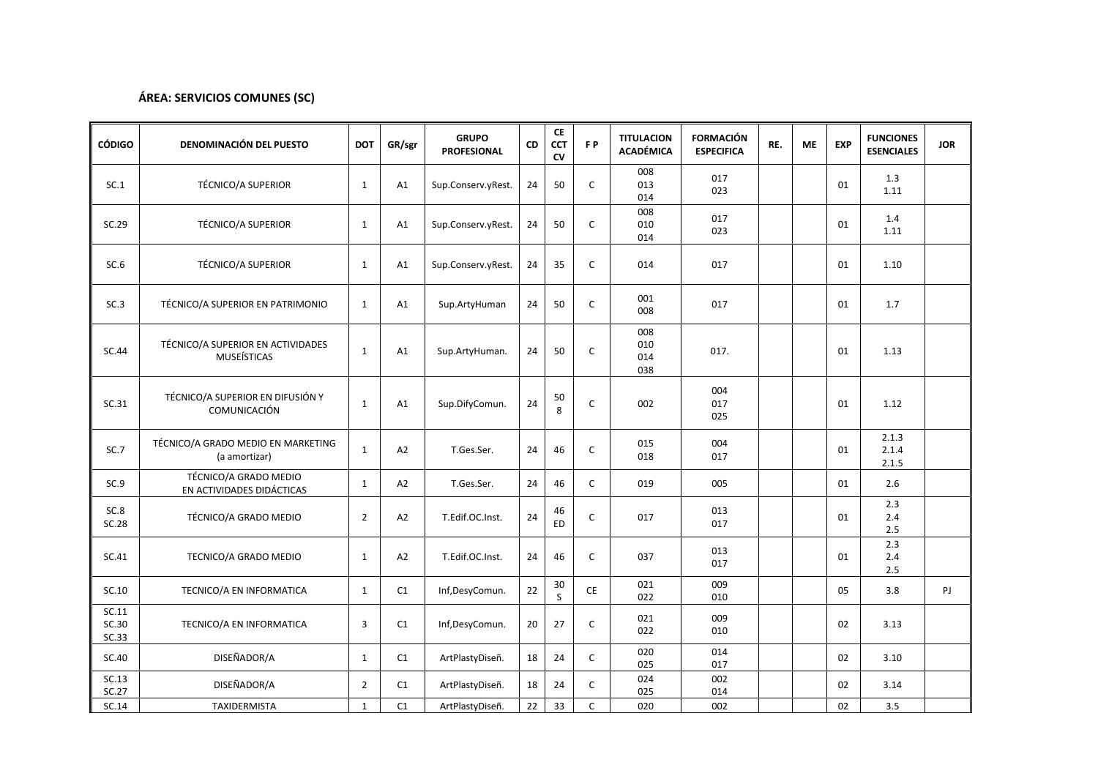### **ÁREA: SERVICIOS COMUNES (SC)**

| <b>CÓDIGO</b>           | <b>DENOMINACIÓN DEL PUESTO</b>                          | <b>DOT</b>     | GR/sgr         | <b>GRUPO</b><br><b>PROFESIONAL</b> | CD | <b>CE</b><br><b>CCT</b><br>CV | F <sub>P</sub> | <b>TITULACION</b><br><b>ACADÉMICA</b> | <b>FORMACIÓN</b><br><b>ESPECIFICA</b> | RE. | <b>ME</b> | <b>EXP</b> | <b>FUNCIONES</b><br><b>ESENCIALES</b> | <b>JOR</b> |
|-------------------------|---------------------------------------------------------|----------------|----------------|------------------------------------|----|-------------------------------|----------------|---------------------------------------|---------------------------------------|-----|-----------|------------|---------------------------------------|------------|
| SC.1                    | <b>TÉCNICO/A SUPERIOR</b>                               | $\mathbf{1}$   | A1             | Sup.Conserv.yRest.                 | 24 | 50                            | $\mathsf C$    | 008<br>013<br>014                     | 017<br>023                            |     |           | 01         | 1.3<br>1.11                           |            |
| SC.29                   | <b>TÉCNICO/A SUPERIOR</b>                               | $\mathbf{1}$   | A1             | Sup.Conserv.yRest.                 | 24 | 50                            | $\mathsf C$    | 008<br>010<br>014                     | 017<br>023                            |     |           | 01         | 1.4<br>1.11                           |            |
| SC.6                    | <b>TÉCNICO/A SUPERIOR</b>                               | $\mathbf{1}$   | A1             | Sup.Conserv.yRest.                 | 24 | 35                            | $\mathsf{C}$   | 014                                   | 017                                   |     |           | 01         | 1.10                                  |            |
| SC.3                    | TÉCNICO/A SUPERIOR EN PATRIMONIO                        | $\mathbf{1}$   | A1             | Sup.ArtyHuman                      | 24 | 50                            | $\mathsf{C}$   | 001<br>008                            | 017                                   |     |           | 01         | 1.7                                   |            |
| SC.44                   | TÉCNICO/A SUPERIOR EN ACTIVIDADES<br><b>MUSEÍSTICAS</b> | $\mathbf{1}$   | A1             | Sup.ArtyHuman.                     | 24 | 50                            | C              | 008<br>010<br>014<br>038              | 017.                                  |     |           | 01         | 1.13                                  |            |
| SC.31                   | TÉCNICO/A SUPERIOR EN DIFUSIÓN Y<br>COMUNICACIÓN        | $\mathbf{1}$   | A1             | Sup.DifyComun.                     | 24 | $50\,$<br>8                   | $\mathsf C$    | 002                                   | 004<br>017<br>025                     |     |           | 01         | 1.12                                  |            |
| SC.7                    | TÉCNICO/A GRADO MEDIO EN MARKETING<br>(a amortizar)     | $\mathbf{1}$   | A2             | T.Ges.Ser.                         | 24 | 46                            | $\mathsf{C}$   | 015<br>018                            | 004<br>017                            |     |           | 01         | 2.1.3<br>2.1.4<br>2.1.5               |            |
| SC.9                    | TÉCNICO/A GRADO MEDIO<br>EN ACTIVIDADES DIDÁCTICAS      | $\mathbf{1}$   | A <sub>2</sub> | T.Ges.Ser.                         | 24 | 46                            | $\mathsf{C}$   | 019                                   | 005                                   |     |           | 01         | 2.6                                   |            |
| SC.8<br>SC.28           | TÉCNICO/A GRADO MEDIO                                   | $\overline{2}$ | A <sub>2</sub> | T.Edif.OC.Inst.                    | 24 | 46<br>ED                      | $\mathsf C$    | 017                                   | 013<br>017                            |     |           | 01         | 2.3<br>2.4<br>2.5                     |            |
| SC.41                   | TECNICO/A GRADO MEDIO                                   | $\mathbf{1}$   | A2             | T.Edif.OC.Inst.                    | 24 | 46                            | $\mathsf{C}$   | 037                                   | 013<br>017                            |     |           | 01         | 2.3<br>2.4<br>$2.5\,$                 |            |
| SC.10                   | TECNICO/A EN INFORMATICA                                | $\mathbf{1}$   | C1             | Inf,DesyComun.                     | 22 | 30<br>S                       | CE             | 021<br>022                            | 009<br>010                            |     |           | 05         | 3.8                                   | PJ         |
| SC.11<br>SC.30<br>SC.33 | TECNICO/A EN INFORMATICA                                | 3              | C1             | Inf,DesyComun.                     | 20 | 27                            | C              | 021<br>022                            | 009<br>010                            |     |           | 02         | 3.13                                  |            |
| SC.40                   | DISEÑADOR/A                                             | $\mathbf{1}$   | C1             | ArtPlastyDiseñ.                    | 18 | 24                            | $\mathsf{C}$   | 020<br>025                            | 014<br>017                            |     |           | 02         | 3.10                                  |            |
| SC.13<br>SC.27          | DISEÑADOR/A                                             | $\overline{2}$ | C1             | ArtPlastyDiseñ.                    | 18 | 24                            | $\mathsf{C}$   | 024<br>025                            | 002<br>014                            |     |           | 02         | 3.14                                  |            |
| SC.14                   | TAXIDERMISTA                                            | $\mathbf{1}$   | C1             | ArtPlastyDiseñ.                    | 22 | 33                            | C              | 020                                   | 002                                   |     |           | 02         | 3.5                                   |            |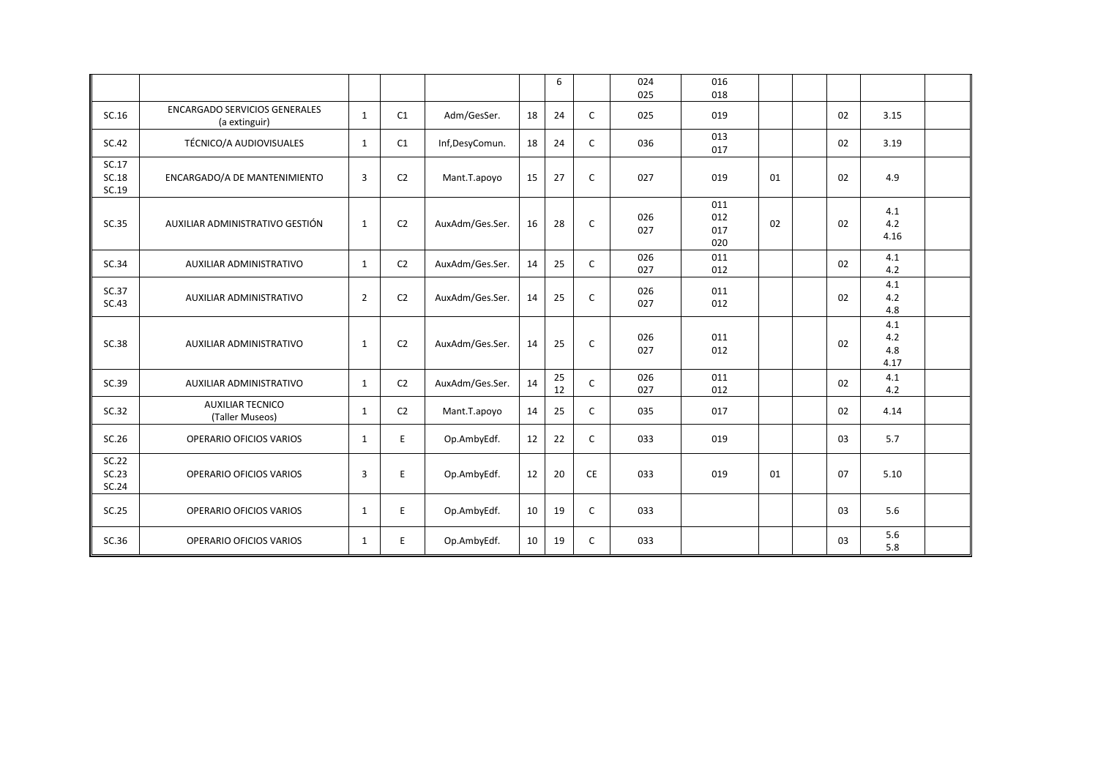|                         |                                                       |                |                |                 |    | 6        |              | 024<br>025 | 016<br>018               |    |    |                           |  |
|-------------------------|-------------------------------------------------------|----------------|----------------|-----------------|----|----------|--------------|------------|--------------------------|----|----|---------------------------|--|
| SC.16                   | <b>ENCARGADO SERVICIOS GENERALES</b><br>(a extinguir) | $\mathbf{1}$   | C1             | Adm/GesSer.     | 18 | 24       | C            | 025        | 019                      |    | 02 | 3.15                      |  |
| SC.42                   | TÉCNICO/A AUDIOVISUALES                               | $\mathbf{1}$   | C1             | Inf,DesyComun.  | 18 | 24       | C            | 036        | 013<br>017               |    | 02 | 3.19                      |  |
| SC.17<br>SC.18<br>SC.19 | ENCARGADO/A DE MANTENIMIENTO                          | 3              | C <sub>2</sub> | Mant.T.apoyo    | 15 | 27       | C            | 027        | 019                      | 01 | 02 | 4.9                       |  |
| SC.35                   | AUXILIAR ADMINISTRATIVO GESTIÓN                       | $\mathbf{1}$   | C <sub>2</sub> | AuxAdm/Ges.Ser. | 16 | 28       | C            | 026<br>027 | 011<br>012<br>017<br>020 | 02 | 02 | 4.1<br>4.2<br>4.16        |  |
| SC.34                   | AUXILIAR ADMINISTRATIVO                               | $\mathbf{1}$   | C <sub>2</sub> | AuxAdm/Ges.Ser. | 14 | 25       | $\mathsf{C}$ | 026<br>027 | 011<br>012               |    | 02 | 4.1<br>4.2                |  |
| SC.37<br>SC.43          | AUXILIAR ADMINISTRATIVO                               | $\overline{2}$ | C <sub>2</sub> | AuxAdm/Ges.Ser. | 14 | 25       | C            | 026<br>027 | 011<br>012               |    | 02 | 4.1<br>4.2<br>4.8         |  |
| SC.38                   | AUXILIAR ADMINISTRATIVO                               | $\mathbf{1}$   | C <sub>2</sub> | AuxAdm/Ges.Ser. | 14 | 25       | C            | 026<br>027 | 011<br>012               |    | 02 | 4.1<br>4.2<br>4.8<br>4.17 |  |
| SC.39                   | AUXILIAR ADMINISTRATIVO                               | $\mathbf{1}$   | C <sub>2</sub> | AuxAdm/Ges.Ser. | 14 | 25<br>12 | C            | 026<br>027 | 011<br>012               |    | 02 | 4.1<br>4.2                |  |
| SC.32                   | <b>AUXILIAR TECNICO</b><br>(Taller Museos)            | $\mathbf{1}$   | C <sub>2</sub> | Mant.T.apoyo    | 14 | 25       | C            | 035        | 017                      |    | 02 | 4.14                      |  |
| SC.26                   | OPERARIO OFICIOS VARIOS                               | $\mathbf{1}$   | E              | Op.AmbyEdf.     | 12 | 22       | C            | 033        | 019                      |    | 03 | 5.7                       |  |
| SC.22<br>SC.23<br>SC.24 | <b>OPERARIO OFICIOS VARIOS</b>                        | 3              | E              | Op.AmbyEdf.     | 12 | 20       | <b>CE</b>    | 033        | 019                      | 01 | 07 | 5.10                      |  |
| SC.25                   | <b>OPERARIO OFICIOS VARIOS</b>                        | $\mathbf{1}$   | E              | Op.AmbyEdf.     | 10 | 19       | C            | 033        |                          |    | 03 | 5.6                       |  |
| SC.36                   | OPERARIO OFICIOS VARIOS                               | $\mathbf{1}$   | E              | Op.AmbyEdf.     | 10 | 19       | c            | 033        |                          |    | 03 | 5.6<br>5.8                |  |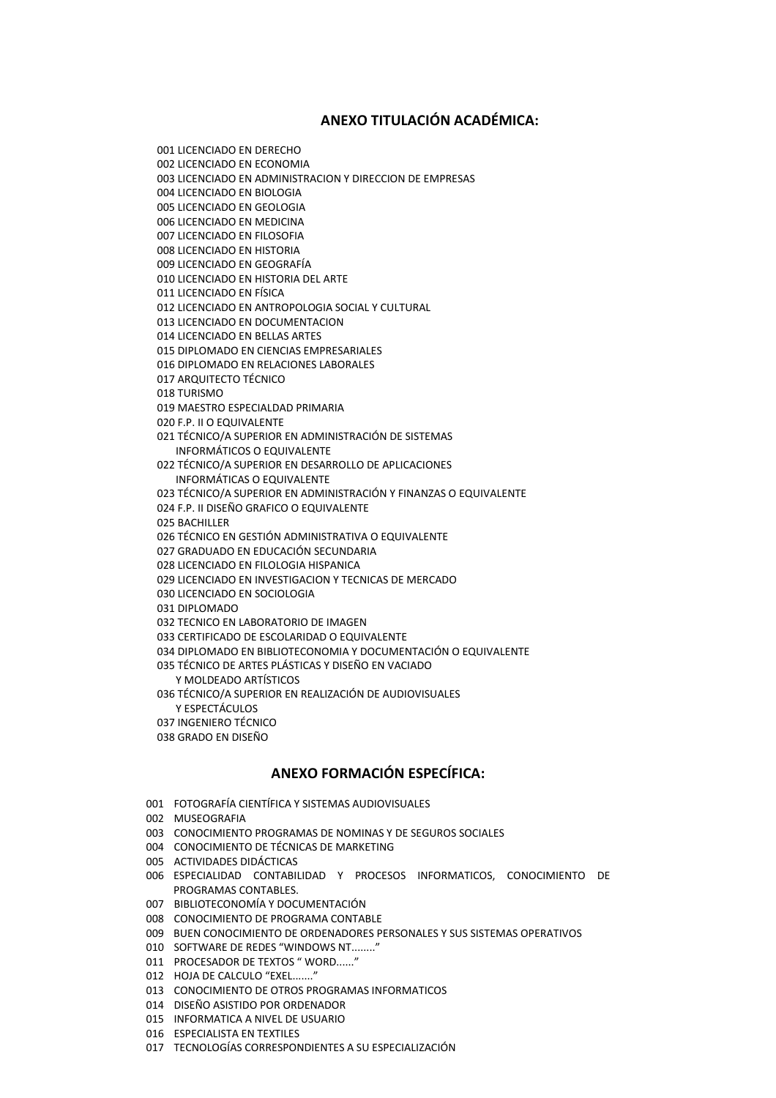### **ANEXO TITULACIÓN ACADÉMICA:**

001 LICENCIADO EN DERECHO 002 LICENCIADO EN ECONOMIA 003 LICENCIADO EN ADMINISTRACION Y DIRECCION DE EMPRESAS 004 LICENCIADO EN BIOLOGIA 005 LICENCIADO EN GEOLOGIA 006 LICENCIADO EN MEDICINA 007 LICENCIADO EN FILOSOFIA 008 LICENCIADO EN HISTORIA 009 LICENCIADO EN GEOGRAFÍA 010 LICENCIADO EN HISTORIA DEL ARTE 011 LICENCIADO EN FÍSICA 012 LICENCIADO EN ANTROPOLOGIA SOCIAL Y CULTURAL 013 LICENCIADO EN DOCUMENTACION 014 LICENCIADO EN BELLAS ARTES 015 DIPLOMADO EN CIENCIAS EMPRESARIALES 016 DIPLOMADO EN RELACIONES LABORALES 017 ARQUITECTO TÉCNICO 018 TURISMO 019 MAESTRO ESPECIALDAD PRIMARIA 020 F.P. II O EQUIVALENTE 021 TÉCNICO/A SUPERIOR EN ADMINISTRACIÓN DE SISTEMAS INFORMÁTICOS O EQUIVALENTE 022 TÉCNICO/A SUPERIOR EN DESARROLLO DE APLICACIONES INFORMÁTICAS O EQUIVALENTE 023 TÉCNICO/A SUPERIOR EN ADMINISTRACIÓN Y FINANZAS O EQUIVALENTE 024 F.P. II DISEÑO GRAFICO O EQUIVALENTE 025 BACHILLER 026 TÉCNICO EN GESTIÓN ADMINISTRATIVA O EQUIVALENTE 027 GRADUADO EN EDUCACIÓN SECUNDARIA 028 LICENCIADO EN FILOLOGIA HISPANICA 029 LICENCIADO EN INVESTIGACION Y TECNICAS DE MERCADO 030 LICENCIADO EN SOCIOLOGIA 031 DIPLOMADO 032 TECNICO EN LABORATORIO DE IMAGEN 033 CERTIFICADO DE ESCOLARIDAD O EQUIVALENTE 034 DIPLOMADO EN BIBLIOTECONOMIA Y DOCUMENTACIÓN O EQUIVALENTE 035 TÉCNICO DE ARTES PLÁSTICAS Y DISEÑO EN VACIADO Y MOLDEADO ARTÍSTICOS 036 TÉCNICO/A SUPERIOR EN REALIZACIÓN DE AUDIOVISUALES Y ESPECTÁCULOS 037 INGENIERO TÉCNICO

038 GRADO EN DISEÑO

#### **ANEXO FORMACIÓN ESPECÍFICA:**

- 001 FOTOGRAFÍA CIENTÍFICA Y SISTEMAS AUDIOVISUALES
- 002 MUSEOGRAFIA
- 003 CONOCIMIENTO PROGRAMAS DE NOMINAS Y DE SEGUROS SOCIALES
- 004 CONOCIMIENTO DE TÉCNICAS DE MARKETING
- 005 ACTIVIDADES DIDÁCTICAS
- 006 ESPECIALIDAD CONTABILIDAD Y PROCESOS INFORMATICOS, CONOCIMIENTO DE PROGRAMAS CONTABLES.
- 007 BIBLIOTECONOMÍA Y DOCUMENTACIÓN
- 008 CONOCIMIENTO DE PROGRAMA CONTABLE
- 009 BUEN CONOCIMIENTO DE ORDENADORES PERSONALES Y SUS SISTEMAS OPERATIVOS
- 010 SOFTWARE DE REDES "WINDOWS NT........"
- 011 PROCESADOR DE TEXTOS " WORD......"
- 012 HOJA DE CALCULO "EXEL ......."
- 013 CONOCIMIENTO DE OTROS PROGRAMAS INFORMATICOS
- 014 DISEÑO ASISTIDO POR ORDENADOR
- 015 INFORMATICA A NIVEL DE USUARIO
- 016 ESPECIALISTA EN TEXTILES
- 017 TECNOLOGÍAS CORRESPONDIENTES A SU ESPECIALIZACIÓN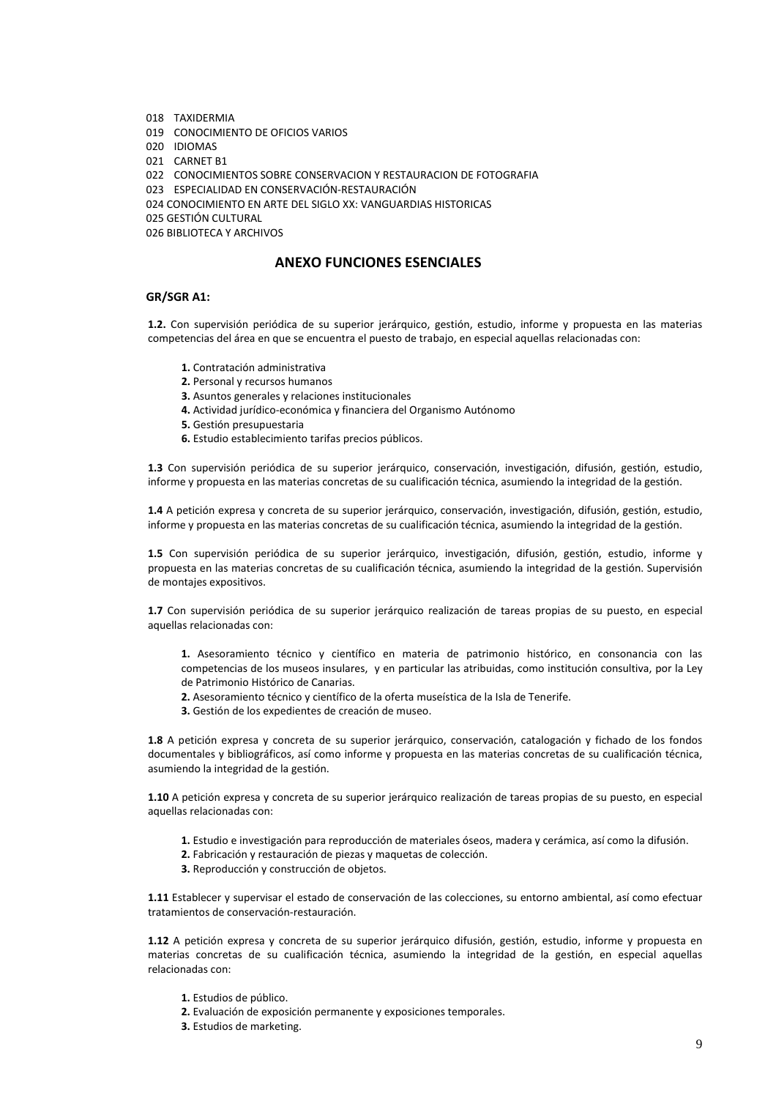- 018 TAXIDERMIA
- 019 CONOCIMIENTO DE OFICIOS VARIOS

020 IDIOMAS

021 CARNET B1

022 CONOCIMIENTOS SOBRE CONSERVACION Y RESTAURACION DE FOTOGRAFIA

023 ESPECIALIDAD EN CONSERVACIÓN-RESTAURACIÓN

024 CONOCIMIENTO EN ARTE DEL SIGLO XX: VANGUARDIAS HISTORICAS

025 GESTIÓN CULTURAL

026 BIBLIOTECA Y ARCHIVOS

### **ANEXO FUNCIONES ESENCIALES**

#### **GR/SGR A1:**

**1.2.** Con supervisión periódica de su superior jerárquico, gestión, estudio, informe y propuesta en las materias competencias del área en que se encuentra el puesto de trabajo, en especial aquellas relacionadas con:

- **1.** Contratación administrativa
- **2.** Personal y recursos humanos
- **3.** Asuntos generales y relaciones institucionales
- **4.** Actividad jurídico-económica y financiera del Organismo Autónomo
- **5.** Gestión presupuestaria
- **6.** Estudio establecimiento tarifas precios públicos.

**1.3** Con supervisión periódica de su superior jerárquico, conservación, investigación, difusión, gestión, estudio, informe y propuesta en las materias concretas de su cualificación técnica, asumiendo la integridad de la gestión.

**1.4** A petición expresa y concreta de su superior jerárquico, conservación, investigación, difusión, gestión, estudio, informe y propuesta en las materias concretas de su cualificación técnica, asumiendo la integridad de la gestión.

**1.5** Con supervisión periódica de su superior jerárquico, investigación, difusión, gestión, estudio, informe y propuesta en las materias concretas de su cualificación técnica, asumiendo la integridad de la gestión. Supervisión de montajes expositivos.

**1.7** Con supervisión periódica de su superior jerárquico realización de tareas propias de su puesto, en especial aquellas relacionadas con:

**1.** Asesoramiento técnico y científico en materia de patrimonio histórico, en consonancia con las competencias de los museos insulares, y en particular las atribuidas, como institución consultiva, por la Ley de Patrimonio Histórico de Canarias.

- **2.** Asesoramiento técnico y científico de la oferta museística de la Isla de Tenerife.
- **3.** Gestión de los expedientes de creación de museo.

**1.8** A petición expresa y concreta de su superior jerárquico, conservación, catalogación y fichado de los fondos documentales y bibliográficos, así como informe y propuesta en las materias concretas de su cualificación técnica, asumiendo la integridad de la gestión.

**1.10** A petición expresa y concreta de su superior jerárquico realización de tareas propias de su puesto, en especial aquellas relacionadas con:

- **1.** Estudio e investigación para reproducción de materiales óseos, madera y cerámica, así como la difusión.
- **2.** Fabricación y restauración de piezas y maquetas de colección.
- **3.** Reproducción y construcción de objetos.

**1.11** Establecer y supervisar el estado de conservación de las colecciones, su entorno ambiental, así como efectuar tratamientos de conservación-restauración.

**1.12** A petición expresa y concreta de su superior jerárquico difusión, gestión, estudio, informe y propuesta en materias concretas de su cualificación técnica, asumiendo la integridad de la gestión, en especial aquellas relacionadas con:

- **1.** Estudios de público.
- **2.** Evaluación de exposición permanente y exposiciones temporales.
- **3.** Estudios de marketing.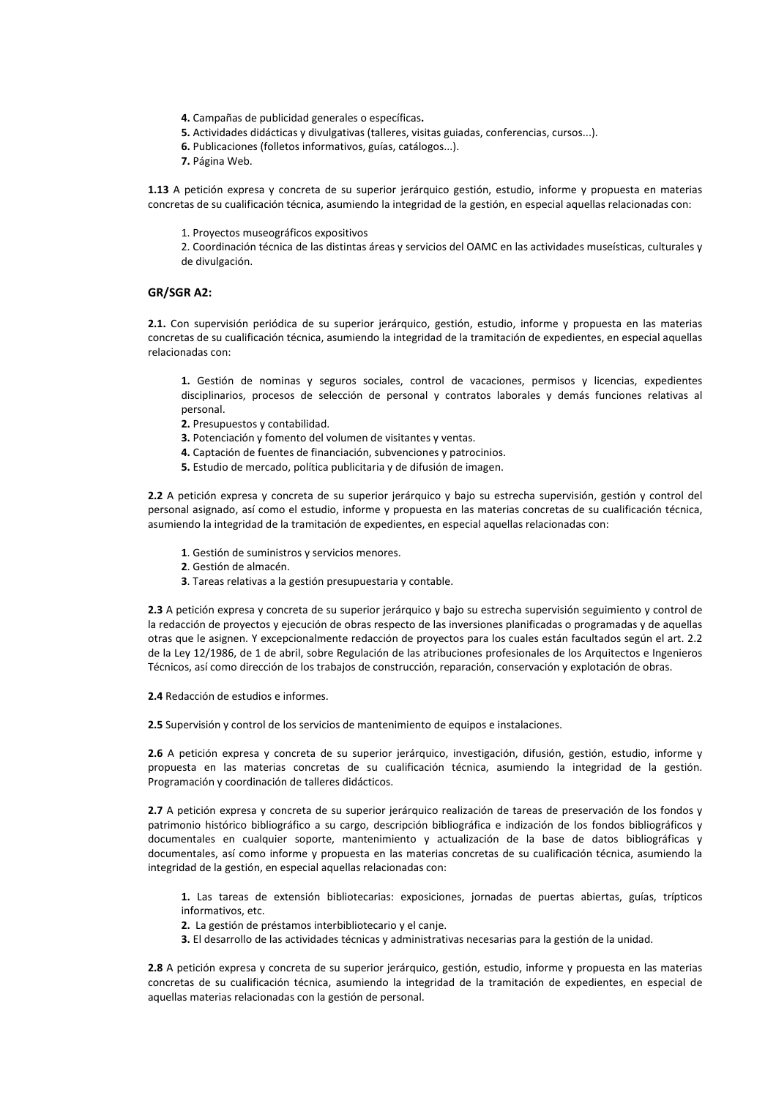- **4.** Campañas de publicidad generales o específicas**.**
- **5.** Actividades didácticas y divulgativas (talleres, visitas guiadas, conferencias, cursos...).
- **6.** Publicaciones (folletos informativos, guías, catálogos...).
- **7.** Página Web.

**1.13** A petición expresa y concreta de su superior jerárquico gestión, estudio, informe y propuesta en materias concretas de su cualificación técnica, asumiendo la integridad de la gestión, en especial aquellas relacionadas con:

1. Proyectos museográficos expositivos

2. Coordinación técnica de las distintas áreas y servicios del OAMC en las actividades museísticas, culturales y de divulgación.

#### **GR/SGR A2:**

**2.1.** Con supervisión periódica de su superior jerárquico, gestión, estudio, informe y propuesta en las materias concretas de su cualificación técnica, asumiendo la integridad de la tramitación de expedientes, en especial aquellas relacionadas con:

**1.** Gestión de nominas y seguros sociales, control de vacaciones, permisos y licencias, expedientes disciplinarios, procesos de selección de personal y contratos laborales y demás funciones relativas al personal.

**2.** Presupuestos y contabilidad.

- **3.** Potenciación y fomento del volumen de visitantes y ventas.
- **4.** Captación de fuentes de financiación, subvenciones y patrocinios.
- **5.** Estudio de mercado, política publicitaria y de difusión de imagen.

**2.2** A petición expresa y concreta de su superior jerárquico y bajo su estrecha supervisión, gestión y control del personal asignado, así como el estudio, informe y propuesta en las materias concretas de su cualificación técnica, asumiendo la integridad de la tramitación de expedientes, en especial aquellas relacionadas con:

- **1**. Gestión de suministros y servicios menores.
- **2**. Gestión de almacén.
- **3**. Tareas relativas a la gestión presupuestaria y contable.

**2.3** A petición expresa y concreta de su superior jerárquico y bajo su estrecha supervisión seguimiento y control de la redacción de proyectos y ejecución de obras respecto de las inversiones planificadas o programadas y de aquellas otras que le asignen. Y excepcionalmente redacción de proyectos para los cuales están facultados según el art. 2.2 de la Ley 12/1986, de 1 de abril, sobre Regulación de las atribuciones profesionales de los Arquitectos e Ingenieros Técnicos, así como dirección de los trabajos de construcción, reparación, conservación y explotación de obras.

**2.4** Redacción de estudios e informes.

**2.5** Supervisión y control de los servicios de mantenimiento de equipos e instalaciones.

**2.6** A petición expresa y concreta de su superior jerárquico, investigación, difusión, gestión, estudio, informe y propuesta en las materias concretas de su cualificación técnica, asumiendo la integridad de la gestión. Programación y coordinación de talleres didácticos.

**2.7** A petición expresa y concreta de su superior jerárquico realización de tareas de preservación de los fondos y patrimonio histórico bibliográfico a su cargo, descripción bibliográfica e indización de los fondos bibliográficos y documentales en cualquier soporte, mantenimiento y actualización de la base de datos bibliográficas y documentales, así como informe y propuesta en las materias concretas de su cualificación técnica, asumiendo la integridad de la gestión, en especial aquellas relacionadas con:

**1.** Las tareas de extensión bibliotecarias: exposiciones, jornadas de puertas abiertas, guías, trípticos informativos, etc.

- **2.** La gestión de préstamos interbibliotecario y el canje.
- **3.** El desarrollo de las actividades técnicas y administrativas necesarias para la gestión de la unidad.

**2.8** A petición expresa y concreta de su superior jerárquico, gestión, estudio, informe y propuesta en las materias concretas de su cualificación técnica, asumiendo la integridad de la tramitación de expedientes, en especial de aquellas materias relacionadas con la gestión de personal.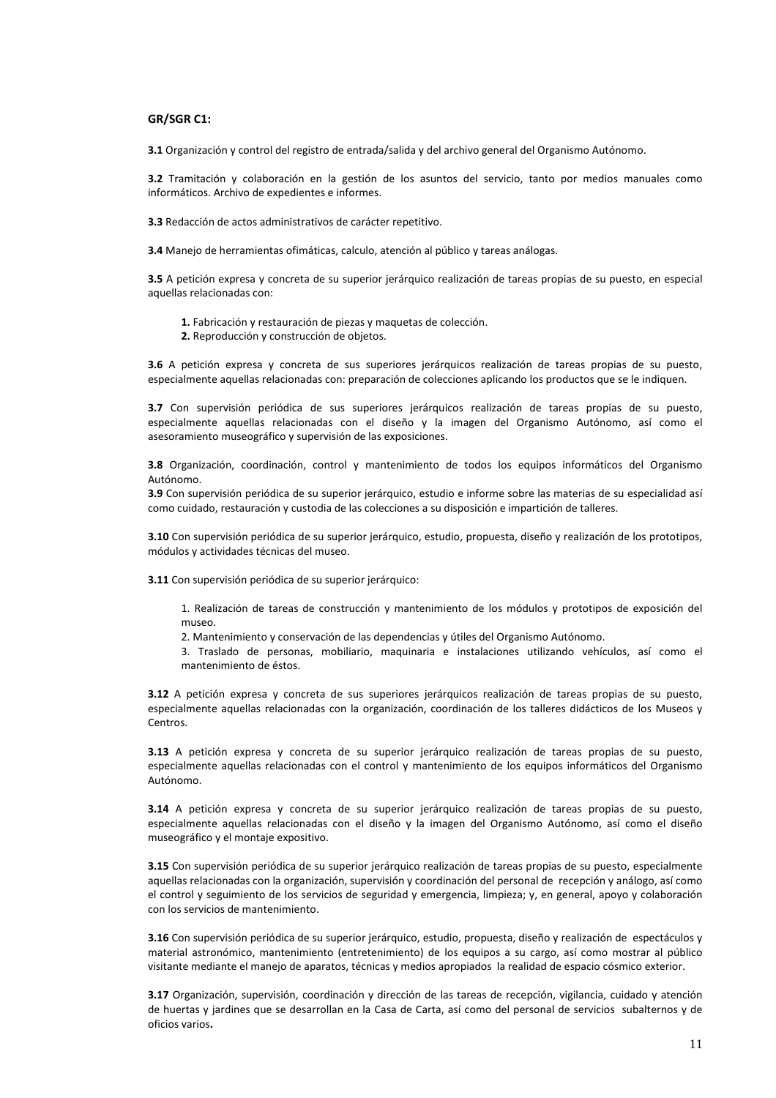#### **GR/SGR C1:**

**3.1** Organización y control del registro de entrada/salida y del archivo general del Organismo Autónomo.

**3.2** Tramitación y colaboración en la gestión de los asuntos del servicio, tanto por medios manuales como informáticos. Archivo de expedientes e informes.

**3.3** Redacción de actos administrativos de carácter repetitivo.

**3.4** Manejo de herramientas ofimáticas, calculo, atención al público y tareas análogas.

**3.5** A petición expresa y concreta de su superior jerárquico realización de tareas propias de su puesto, en especial aquellas relacionadas con:

- **1.** Fabricación y restauración de piezas y maquetas de colección.
- **2.** Reproducción y construcción de objetos.

**3.6** A petición expresa y concreta de sus superiores jerárquicos realización de tareas propias de su puesto, especialmente aquellas relacionadas con: preparación de colecciones aplicando los productos que se le indiquen.

**3.7** Con supervisión periódica de sus superiores jerárquicos realización de tareas propias de su puesto, especialmente aquellas relacionadas con el diseño y la imagen del Organismo Autónomo, así como el asesoramiento museográfico y supervisión de las exposiciones.

**3.8** Organización, coordinación, control y mantenimiento de todos los equipos informáticos del Organismo Autónomo.

**3.9** Con supervisión periódica de su superior jerárquico, estudio e informe sobre las materias de su especialidad así como cuidado, restauración y custodia de las colecciones a su disposición e impartición de talleres.

**3.10** Con supervisión periódica de su superior jerárquico, estudio, propuesta, diseño y realización de los prototipos, módulos y actividades técnicas del museo.

**3.11** Con supervisión periódica de su superior jerárquico:

1. Realización de tareas de construcción y mantenimiento de los módulos y prototipos de exposición del museo.

2. Mantenimiento y conservación de las dependencias y útiles del Organismo Autónomo.

3. Traslado de personas, mobiliario, maquinaria e instalaciones utilizando vehículos, así como el mantenimiento de éstos.

**3.12** A petición expresa y concreta de sus superiores jerárquicos realización de tareas propias de su puesto, especialmente aquellas relacionadas con la organización, coordinación de los talleres didácticos de los Museos y Centros.

**3.13** A petición expresa y concreta de su superior jerárquico realización de tareas propias de su puesto, especialmente aquellas relacionadas con el control y mantenimiento de los equipos informáticos del Organismo Autónomo.

**3.14** A petición expresa y concreta de su superior jerárquico realización de tareas propias de su puesto, especialmente aquellas relacionadas con el diseño y la imagen del Organismo Autónomo, así como el diseño museográfico y el montaje expositivo.

**3.15** Con supervisión periódica de su superior jerárquico realización de tareas propias de su puesto, especialmente aquellas relacionadas con la organización, supervisión y coordinación del personal de recepción y análogo, así como el control y seguimiento de los servicios de seguridad y emergencia, limpieza; y, en general, apoyo y colaboración con los servicios de mantenimiento.

**3.16** Con supervisión periódica de su superior jerárquico, estudio, propuesta, diseño y realización de espectáculos y material astronómico, mantenimiento (entretenimiento) de los equipos a su cargo, así como mostrar al público visitante mediante el manejo de aparatos, técnicas y medios apropiados la realidad de espacio cósmico exterior.

**3.17** Organización, supervisión, coordinación y dirección de las tareas de recepción, vigilancia, cuidado y atención de huertas y jardines que se desarrollan en la Casa de Carta, así como del personal de servicios subalternos y de oficios varios**.**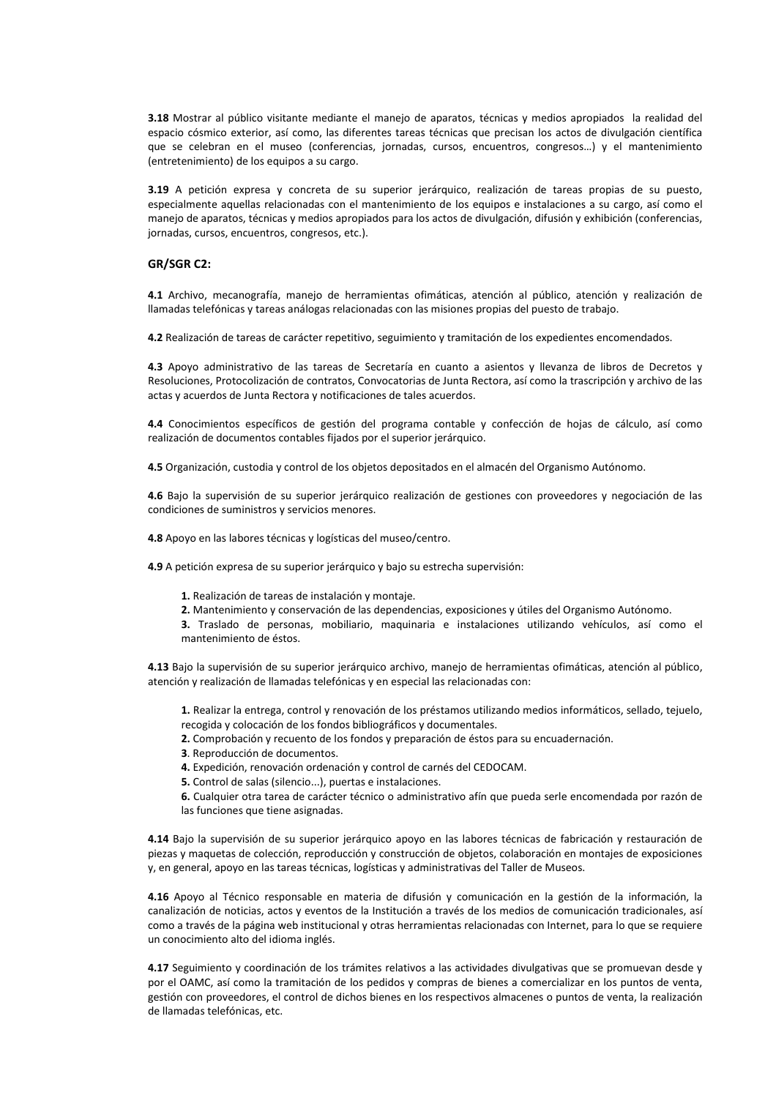**3.18** Mostrar al público visitante mediante el manejo de aparatos, técnicas y medios apropiados la realidad del espacio cósmico exterior, así como, las diferentes tareas técnicas que precisan los actos de divulgación científica que se celebran en el museo (conferencias, jornadas, cursos, encuentros, congresos…) y el mantenimiento (entretenimiento) de los equipos a su cargo.

**3.19** A petición expresa y concreta de su superior jerárquico, realización de tareas propias de su puesto, especialmente aquellas relacionadas con el mantenimiento de los equipos e instalaciones a su cargo, así como el manejo de aparatos, técnicas y medios apropiados para los actos de divulgación, difusión y exhibición (conferencias, jornadas, cursos, encuentros, congresos, etc.).

#### **GR/SGR C2:**

**4.1** Archivo, mecanografía, manejo de herramientas ofimáticas, atención al público, atención y realización de llamadas telefónicas y tareas análogas relacionadas con las misiones propias del puesto de trabajo.

**4.2** Realización de tareas de carácter repetitivo, seguimiento y tramitación de los expedientes encomendados.

**4.3** Apoyo administrativo de las tareas de Secretaría en cuanto a asientos y llevanza de libros de Decretos y Resoluciones, Protocolización de contratos, Convocatorias de Junta Rectora, así como la trascripción y archivo de las actas y acuerdos de Junta Rectora y notificaciones de tales acuerdos.

**4.4** Conocimientos específicos de gestión del programa contable y confección de hojas de cálculo, así como realización de documentos contables fijados por el superior jerárquico.

**4.5** Organización, custodia y control de los objetos depositados en el almacén del Organismo Autónomo.

**4.6** Bajo la supervisión de su superior jerárquico realización de gestiones con proveedores y negociación de las condiciones de suministros y servicios menores.

**4.8** Apoyo en las labores técnicas y logísticas del museo/centro.

**4.9** A petición expresa de su superior jerárquico y bajo su estrecha supervisión:

**1.** Realización de tareas de instalación y montaje.

**2.** Mantenimiento y conservación de las dependencias, exposiciones y útiles del Organismo Autónomo.

**3.** Traslado de personas, mobiliario, maquinaria e instalaciones utilizando vehículos, así como el mantenimiento de éstos.

**4.13** Bajo la supervisión de su superior jerárquico archivo, manejo de herramientas ofimáticas, atención al público, atención y realización de llamadas telefónicas y en especial las relacionadas con:

**1.** Realizar la entrega, control y renovación de los préstamos utilizando medios informáticos, sellado, tejuelo, recogida y colocación de los fondos bibliográficos y documentales.

- **2.** Comprobación y recuento de los fondos y preparación de éstos para su encuadernación.
- **3**. Reproducción de documentos.

**4.** Expedición, renovación ordenación y control de carnés del CEDOCAM.

**5.** Control de salas (silencio...), puertas e instalaciones.

**6.** Cualquier otra tarea de carácter técnico o administrativo afín que pueda serle encomendada por razón de las funciones que tiene asignadas.

**4.14** Bajo la supervisión de su superior jerárquico apoyo en las labores técnicas de fabricación y restauración de piezas y maquetas de colección, reproducción y construcción de objetos, colaboración en montajes de exposiciones y, en general, apoyo en las tareas técnicas, logísticas y administrativas del Taller de Museos.

**4.16** Apoyo al Técnico responsable en materia de difusión y comunicación en la gestión de la información, la canalización de noticias, actos y eventos de la Institución a través de los medios de comunicación tradicionales, así como a través de la página web institucional y otras herramientas relacionadas con Internet, para lo que se requiere un conocimiento alto del idioma inglés.

**4.17** Seguimiento y coordinación de los trámites relativos a las actividades divulgativas que se promuevan desde y por el OAMC, así como la tramitación de los pedidos y compras de bienes a comercializar en los puntos de venta, gestión con proveedores, el control de dichos bienes en los respectivos almacenes o puntos de venta, la realización de llamadas telefónicas, etc.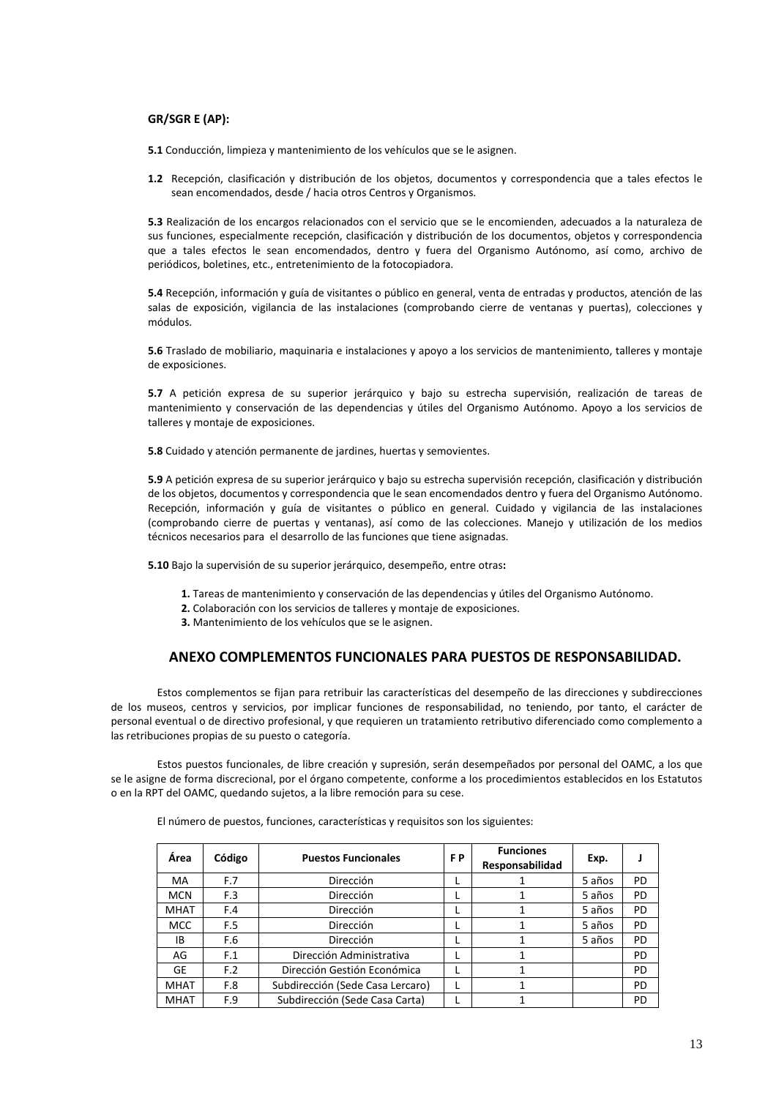#### **GR/SGR E (AP):**

**5.1** Conducción, limpieza y mantenimiento de los vehículos que se le asignen.

**1.2** Recepción, clasificación y distribución de los objetos, documentos y correspondencia que a tales efectos le sean encomendados, desde / hacia otros Centros y Organismos.

**5.3** Realización de los encargos relacionados con el servicio que se le encomienden, adecuados a la naturaleza de sus funciones, especialmente recepción, clasificación y distribución de los documentos, objetos y correspondencia que a tales efectos le sean encomendados, dentro y fuera del Organismo Autónomo, así como, archivo de periódicos, boletines, etc., entretenimiento de la fotocopiadora.

**5.4** Recepción, información y guía de visitantes o público en general, venta de entradas y productos, atención de las salas de exposición, vigilancia de las instalaciones (comprobando cierre de ventanas y puertas), colecciones y módulos.

**5.6** Traslado de mobiliario, maquinaria e instalaciones y apoyo a los servicios de mantenimiento, talleres y montaje de exposiciones.

**5.7** A petición expresa de su superior jerárquico y bajo su estrecha supervisión, realización de tareas de mantenimiento y conservación de las dependencias y útiles del Organismo Autónomo. Apoyo a los servicios de talleres y montaje de exposiciones.

**5.8** Cuidado y atención permanente de jardines, huertas y semovientes.

**5.9** A petición expresa de su superior jerárquico y bajo su estrecha supervisión recepción, clasificación y distribución de los objetos, documentos y correspondencia que le sean encomendados dentro y fuera del Organismo Autónomo. Recepción, información y guía de visitantes o público en general. Cuidado y vigilancia de las instalaciones (comprobando cierre de puertas y ventanas), así como de las colecciones. Manejo y utilización de los medios técnicos necesarios para el desarrollo de las funciones que tiene asignadas.

**5.10** Bajo la supervisión de su superior jerárquico, desempeño, entre otras**:** 

- **1.** Tareas de mantenimiento y conservación de las dependencias y útiles del Organismo Autónomo.
- **2.** Colaboración con los servicios de talleres y montaje de exposiciones.
- **3.** Mantenimiento de los vehículos que se le asignen.

### **ANEXO COMPLEMENTOS FUNCIONALES PARA PUESTOS DE RESPONSABILIDAD.**

Estos complementos se fijan para retribuir las características del desempeño de las direcciones y subdirecciones de los museos, centros y servicios, por implicar funciones de responsabilidad, no teniendo, por tanto, el carácter de personal eventual o de directivo profesional, y que requieren un tratamiento retributivo diferenciado como complemento a las retribuciones propias de su puesto o categoría.

Estos puestos funcionales, de libre creación y supresión, serán desempeñados por personal del OAMC, a los que se le asigne de forma discrecional, por el órgano competente, conforme a los procedimientos establecidos en los Estatutos o en la RPT del OAMC, quedando sujetos, a la libre remoción para su cese.

| Área        | Código | <b>Puestos Funcionales</b>       |  | <b>Funciones</b><br>Responsabilidad | Exp.   |    |
|-------------|--------|----------------------------------|--|-------------------------------------|--------|----|
| MA          | F.7    | <b>Dirección</b>                 |  |                                     | 5 años | PD |
| <b>MCN</b>  | F.3    | <b>Dirección</b>                 |  |                                     | 5 años | PD |
| <b>MHAT</b> | F.4    | <b>Dirección</b>                 |  |                                     | 5 años | PD |
| <b>MCC</b>  | F.5    | <b>Dirección</b>                 |  |                                     | 5 años | PD |
| IB          | F.6    | <b>Dirección</b>                 |  |                                     | 5 años | PD |
| AG          | F.1    | Dirección Administrativa         |  |                                     |        | PD |
| <b>GE</b>   | F.2    | Dirección Gestión Económica      |  |                                     |        | PD |
| <b>MHAT</b> | F.8    | Subdirección (Sede Casa Lercaro) |  |                                     |        | PD |
| <b>MHAT</b> | F.9    | Subdirección (Sede Casa Carta)   |  |                                     |        | PD |

El número de puestos, funciones, características y requisitos son los siguientes: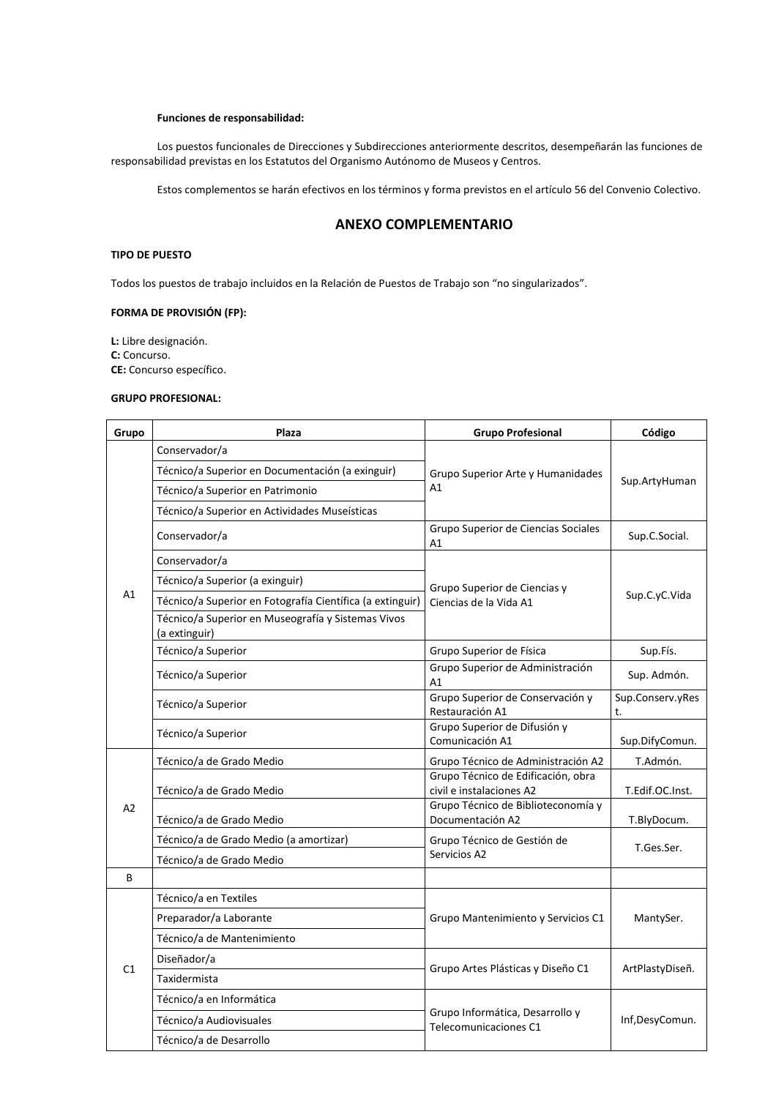#### **Funciones de responsabilidad:**

Los puestos funcionales de Direcciones y Subdirecciones anteriormente descritos, desempeñarán las funciones de responsabilidad previstas en los Estatutos del Organismo Autónomo de Museos y Centros.

Estos complementos se harán efectivos en los términos y forma previstos en el artículo 56 del Convenio Colectivo.

### **ANEXO COMPLEMENTARIO**

#### **TIPO DE PUESTO**

Todos los puestos de trabajo incluidos en la Relación de Puestos de Trabajo son "no singularizados".

#### **FORMA DE PROVISIÓN (FP):**

**L:** Libre designación. **C:** Concurso. **CE:** Concurso específico.

#### **GRUPO PROFESIONAL:**

| Grupo | Plaza                                                               | <b>Grupo Profesional</b>                                       | Código                 |  |
|-------|---------------------------------------------------------------------|----------------------------------------------------------------|------------------------|--|
|       | Conservador/a                                                       |                                                                |                        |  |
|       | Técnico/a Superior en Documentación (a exinguir)                    | Grupo Superior Arte y Humanidades                              | Sup.ArtyHuman          |  |
|       | Técnico/a Superior en Patrimonio                                    | A1                                                             |                        |  |
|       | Técnico/a Superior en Actividades Museísticas                       |                                                                |                        |  |
|       | Conservador/a                                                       | Grupo Superior de Ciencias Sociales<br>A1                      | Sup.C.Social.          |  |
|       | Conservador/a                                                       |                                                                |                        |  |
|       | Técnico/a Superior (a exinguir)                                     | Grupo Superior de Ciencias y                                   |                        |  |
| A1    | Técnico/a Superior en Fotografía Científica (a extinguir)           | Ciencias de la Vida A1                                         | Sup.C.yC.Vida          |  |
|       | Técnico/a Superior en Museografía y Sistemas Vivos<br>(a extinguir) |                                                                |                        |  |
|       | Técnico/a Superior                                                  | Grupo Superior de Física                                       | Sup.Fís.               |  |
|       | Técnico/a Superior                                                  | Grupo Superior de Administración<br>A1                         | Sup. Admón.            |  |
|       | Técnico/a Superior                                                  | Grupo Superior de Conservación y<br>Restauración A1            | Sup.Conserv.yRes<br>t. |  |
|       | Técnico/a Superior                                                  | Grupo Superior de Difusión y<br>Comunicación A1                | Sup.DifyComun.         |  |
|       | Técnico/a de Grado Medio                                            | Grupo Técnico de Administración A2                             | T.Admón.               |  |
|       | Técnico/a de Grado Medio                                            | Grupo Técnico de Edificación, obra<br>civil e instalaciones A2 | T.Edif.OC.Inst.        |  |
| A2    | Técnico/a de Grado Medio                                            | Grupo Técnico de Biblioteconomía y<br>Documentación A2         | T.BlyDocum.            |  |
|       | Técnico/a de Grado Medio (a amortizar)                              | Grupo Técnico de Gestión de                                    | T.Ges.Ser.             |  |
|       | Técnico/a de Grado Medio                                            | Servicios A2                                                   |                        |  |
| B     |                                                                     |                                                                |                        |  |
|       | Técnico/a en Textiles                                               |                                                                |                        |  |
|       | Preparador/a Laborante                                              | Grupo Mantenimiento y Servicios C1                             | MantySer.              |  |
|       | Técnico/a de Mantenimiento                                          |                                                                |                        |  |
| C1    | Diseñador/a                                                         | Grupo Artes Plásticas y Diseño C1                              | ArtPlastyDiseñ.        |  |
|       | Taxidermista                                                        |                                                                |                        |  |
|       | Técnico/a en Informática                                            |                                                                |                        |  |
|       | Técnico/a Audiovisuales                                             | Grupo Informática, Desarrollo y<br>Telecomunicaciones C1       | Inf,DesyComun.         |  |
|       | Técnico/a de Desarrollo                                             |                                                                |                        |  |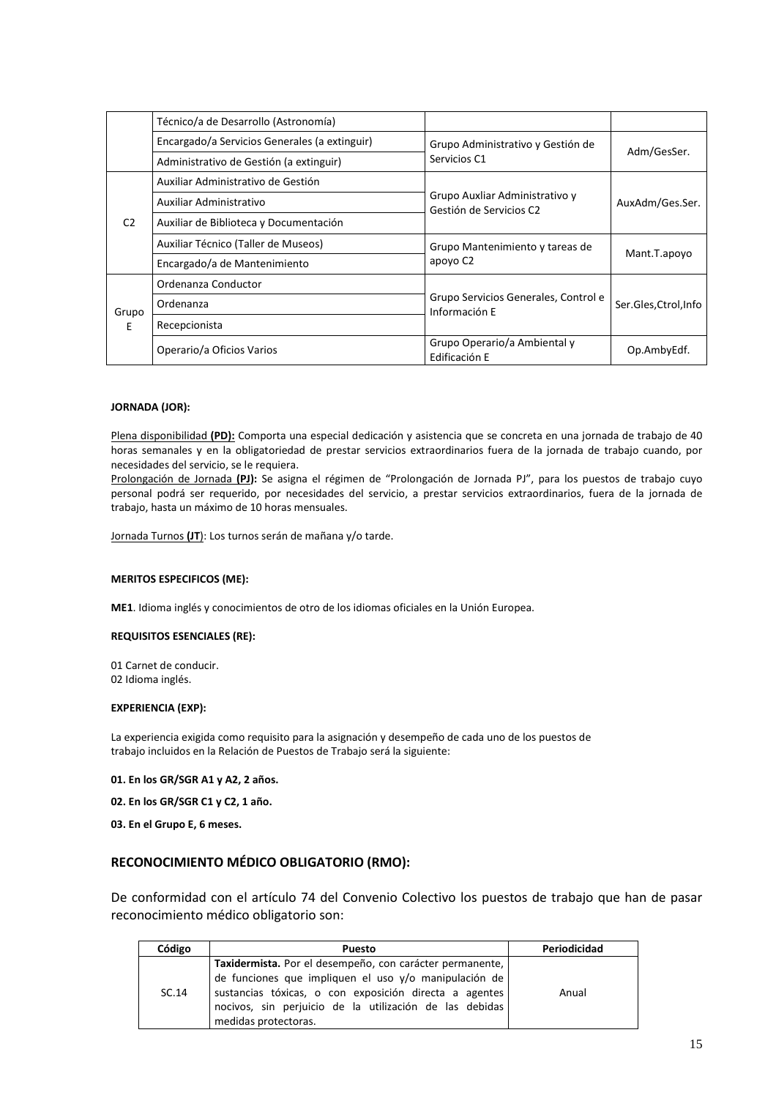|                | Técnico/a de Desarrollo (Astronomía)          |                                                           |                       |  |
|----------------|-----------------------------------------------|-----------------------------------------------------------|-----------------------|--|
|                | Encargado/a Servicios Generales (a extinguir) | Grupo Administrativo y Gestión de                         |                       |  |
|                | Administrativo de Gestión (a extinguir)       | Servicios C1                                              | Adm/GesSer.           |  |
|                | Auxiliar Administrativo de Gestión            |                                                           |                       |  |
|                | Auxiliar Administrativo                       | Grupo Auxliar Administrativo y<br>Gestión de Servicios C2 | AuxAdm/Ges.Ser.       |  |
| C <sub>2</sub> | Auxiliar de Biblioteca y Documentación        |                                                           |                       |  |
|                | Auxiliar Técnico (Taller de Museos)           | Grupo Mantenimiento y tareas de                           | Mant.T.apoyo          |  |
|                | Encargado/a de Mantenimiento                  | apoyo C <sub>2</sub>                                      |                       |  |
|                | Ordenanza Conductor                           |                                                           | Ser.Gles, Ctrol, Info |  |
| Grupo          | Ordenanza                                     | Grupo Servicios Generales, Control e<br>Información E     |                       |  |
| F.             | Recepcionista                                 |                                                           |                       |  |
|                | Operario/a Oficios Varios                     | Grupo Operario/a Ambiental y<br>Edificación E             | Op.AmbyEdf.           |  |

#### **JORNADA (JOR):**

Plena disponibilidad **(PD):** Comporta una especial dedicación y asistencia que se concreta en una jornada de trabajo de 40 horas semanales y en la obligatoriedad de prestar servicios extraordinarios fuera de la jornada de trabajo cuando, por necesidades del servicio, se le requiera.

Prolongación de Jornada **(PJ):** Se asigna el régimen de "Prolongación de Jornada PJ", para los puestos de trabajo cuyo personal podrá ser requerido, por necesidades del servicio, a prestar servicios extraordinarios, fuera de la jornada de trabajo, hasta un máximo de 10 horas mensuales.

Jornada Turnos **(JT**): Los turnos serán de mañana y/o tarde.

#### **MERITOS ESPECIFICOS (ME):**

**ME1**. Idioma inglés y conocimientos de otro de los idiomas oficiales en la Unión Europea.

#### **REQUISITOS ESENCIALES (RE):**

01 Carnet de conducir. 02 Idioma inglés.

#### **EXPERIENCIA (EXP):**

La experiencia exigida como requisito para la asignación y desempeño de cada uno de los puestos de trabajo incluidos en la Relación de Puestos de Trabajo será la siguiente:

**01. En los GR/SGR A1 y A2, 2 años.** 

**02. En los GR/SGR C1 y C2, 1 año.** 

**03. En el Grupo E, 6 meses.** 

### **RECONOCIMIENTO MÉDICO OBLIGATORIO (RMO):**

De conformidad con el artículo 74 del Convenio Colectivo los puestos de trabajo que han de pasar reconocimiento médico obligatorio son:

| Código | <b>Puesto</b>                                                                                                                                                                                      | Periodicidad |
|--------|----------------------------------------------------------------------------------------------------------------------------------------------------------------------------------------------------|--------------|
|        | Taxidermista. Por el desempeño, con carácter permanente,                                                                                                                                           |              |
| SC.14  | de funciones que impliquen el uso y/o manipulación de<br>sustancias tóxicas, o con exposición directa a agentes<br>nocivos, sin perjuicio de la utilización de las debidas<br>medidas protectoras. | Anual        |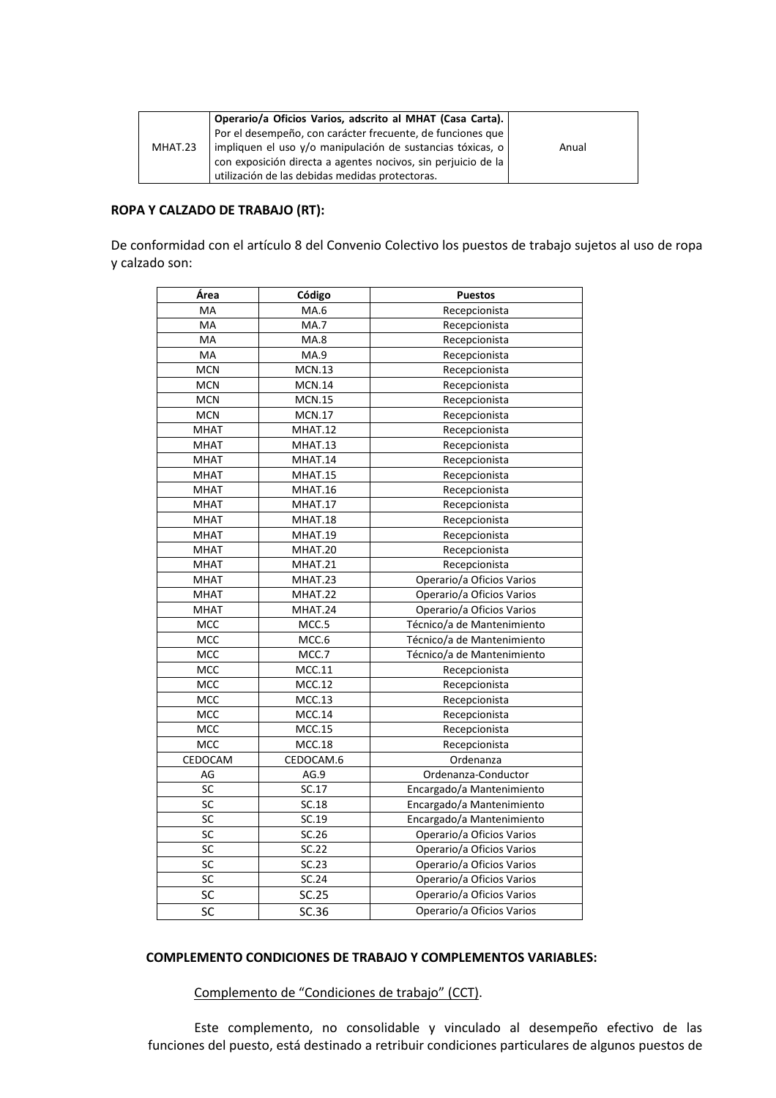|         | Operario/a Oficios Varios, adscrito al MHAT (Casa Carta).     |       |
|---------|---------------------------------------------------------------|-------|
|         | Por el desempeño, con carácter frecuente, de funciones que    |       |
| MHAT.23 | impliquen el uso y/o manipulación de sustancias tóxicas, o    | Anual |
|         | con exposición directa a agentes nocivos, sin perjuicio de la |       |
|         | utilización de las debidas medidas protectoras.               |       |

### **ROPA Y CALZADO DE TRABAJO (RT):**

De conformidad con el artículo 8 del Convenio Colectivo los puestos de trabajo sujetos al uso de ropa y calzado son:

| Área        | Código        | <b>Puestos</b>             |
|-------------|---------------|----------------------------|
| МA          | MA.6          | Recepcionista              |
| MA          | <b>MA.7</b>   | Recepcionista              |
| MA          | MA.8          | Recepcionista              |
| MA          | MA.9          | Recepcionista              |
| <b>MCN</b>  | <b>MCN.13</b> | Recepcionista              |
| <b>MCN</b>  | <b>MCN.14</b> | Recepcionista              |
| <b>MCN</b>  | <b>MCN.15</b> | Recepcionista              |
| <b>MCN</b>  | <b>MCN.17</b> | Recepcionista              |
| <b>MHAT</b> | MHAT.12       | Recepcionista              |
| <b>MHAT</b> | MHAT.13       | Recepcionista              |
| <b>MHAT</b> | MHAT.14       | Recepcionista              |
| <b>MHAT</b> | MHAT.15       | Recepcionista              |
| <b>MHAT</b> | MHAT.16       | Recepcionista              |
| <b>MHAT</b> | MHAT.17       | Recepcionista              |
| <b>MHAT</b> | MHAT.18       | Recepcionista              |
| <b>MHAT</b> | MHAT.19       | Recepcionista              |
| <b>MHAT</b> | MHAT.20       | Recepcionista              |
| MHAT        | MHAT.21       | Recepcionista              |
| <b>MHAT</b> | MHAT.23       | Operario/a Oficios Varios  |
| <b>MHAT</b> | MHAT.22       | Operario/a Oficios Varios  |
| <b>MHAT</b> | MHAT.24       | Operario/a Oficios Varios  |
| MCC         | MCC.5         | Técnico/a de Mantenimiento |
| MCC         | MCC.6         | Técnico/a de Mantenimiento |
| MCC         | MCC.7         | Técnico/a de Mantenimiento |
| MCC         | MCC.11        | Recepcionista              |
| MCC         | <b>MCC.12</b> | Recepcionista              |
| MCC         | <b>MCC.13</b> | Recepcionista              |
| MCC         | <b>MCC.14</b> | Recepcionista              |
| MCC         | <b>MCC.15</b> | Recepcionista              |
| MCC         | <b>MCC.18</b> | Recepcionista              |
| CEDOCAM     | CEDOCAM.6     | Ordenanza                  |
| AG          | AG.9          | Ordenanza-Conductor        |
| SC          | SC.17         | Encargado/a Mantenimiento  |
| SC          | SC.18         | Encargado/a Mantenimiento  |
| SC          | SC.19         | Encargado/a Mantenimiento  |
| <b>SC</b>   | SC.26         | Operario/a Oficios Varios  |
| SC          | SC.22         | Operario/a Oficios Varios  |
| SC          | SC.23         | Operario/a Oficios Varios  |
| SC          | SC.24         | Operario/a Oficios Varios  |
| SC          | SC.25         | Operario/a Oficios Varios  |
| SC          | SC.36         | Operario/a Oficios Varios  |

### **COMPLEMENTO CONDICIONES DE TRABAJO Y COMPLEMENTOS VARIABLES:**

Complemento de "Condiciones de trabajo" (CCT).

Este complemento, no consolidable y vinculado al desempeño efectivo de las funciones del puesto, está destinado a retribuir condiciones particulares de algunos puestos de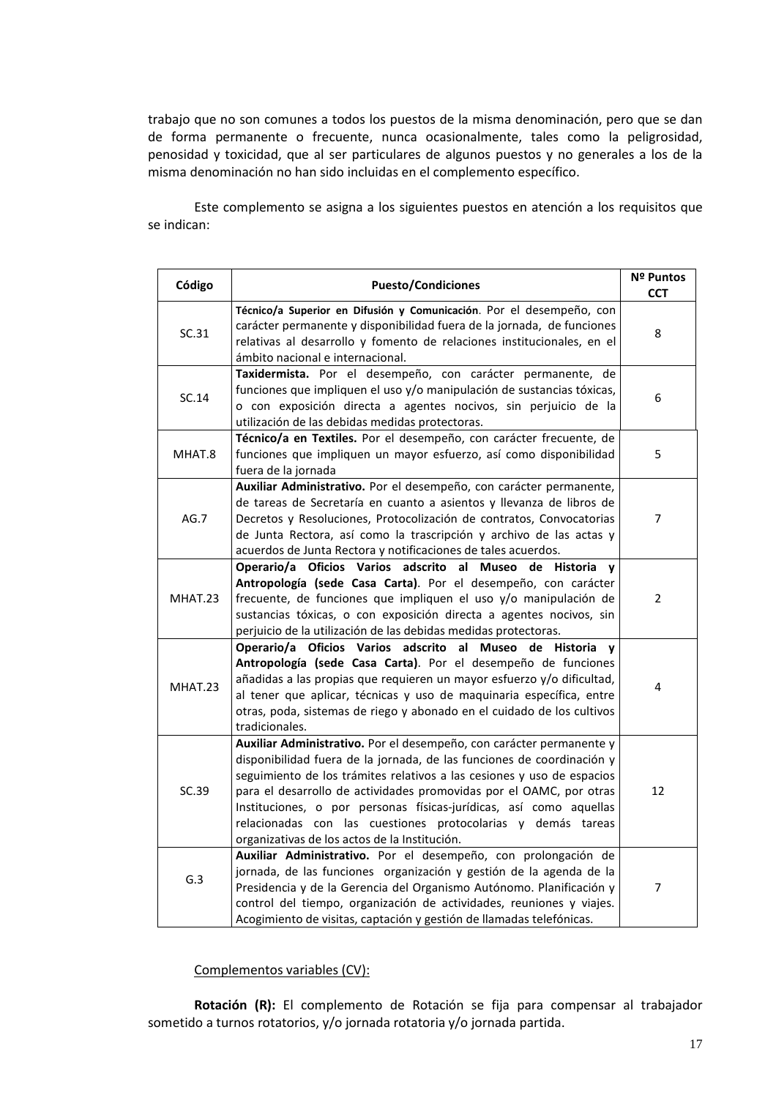trabajo que no son comunes a todos los puestos de la misma denominación, pero que se dan de forma permanente o frecuente, nunca ocasionalmente, tales como la peligrosidad, penosidad y toxicidad, que al ser particulares de algunos puestos y no generales a los de la misma denominación no han sido incluidas en el complemento específico.

Este complemento se asigna a los siguientes puestos en atención a los requisitos que se indican:

| Código  | <b>Puesto/Condiciones</b>                                                                                                                                                                                                                                                                                                                                                                                                                                                              | Nº Puntos<br><b>CCT</b> |
|---------|----------------------------------------------------------------------------------------------------------------------------------------------------------------------------------------------------------------------------------------------------------------------------------------------------------------------------------------------------------------------------------------------------------------------------------------------------------------------------------------|-------------------------|
| SC.31   | Técnico/a Superior en Difusión y Comunicación. Por el desempeño, con<br>carácter permanente y disponibilidad fuera de la jornada, de funciones<br>relativas al desarrollo y fomento de relaciones institucionales, en el<br>ámbito nacional e internacional.                                                                                                                                                                                                                           | 8                       |
| SC.14   | Taxidermista. Por el desempeño, con carácter permanente, de<br>funciones que impliquen el uso y/o manipulación de sustancias tóxicas,<br>o con exposición directa a agentes nocivos, sin perjuicio de la<br>utilización de las debidas medidas protectoras.                                                                                                                                                                                                                            | 6                       |
| MHAT.8  | Técnico/a en Textiles. Por el desempeño, con carácter frecuente, de<br>funciones que impliquen un mayor esfuerzo, así como disponibilidad<br>fuera de la jornada                                                                                                                                                                                                                                                                                                                       | 5                       |
| AG.7    | Auxiliar Administrativo. Por el desempeño, con carácter permanente,<br>de tareas de Secretaría en cuanto a asientos y llevanza de libros de<br>Decretos y Resoluciones, Protocolización de contratos, Convocatorias<br>de Junta Rectora, así como la trascripción y archivo de las actas y<br>acuerdos de Junta Rectora y notificaciones de tales acuerdos.                                                                                                                            | $\overline{7}$          |
| MHAT.23 | Operario/a Oficios Varios adscrito al Museo de Historia<br>$\mathbf{v}$<br>Antropología (sede Casa Carta). Por el desempeño, con carácter<br>frecuente, de funciones que impliquen el uso y/o manipulación de<br>sustancias tóxicas, o con exposición directa a agentes nocivos, sin<br>perjuicio de la utilización de las debidas medidas protectoras.                                                                                                                                | $\overline{2}$          |
| MHAT.23 | Operario/a Oficios Varios adscrito al Museo de Historia<br>$\mathbf{v}$<br>Antropología (sede Casa Carta). Por el desempeño de funciones<br>añadidas a las propias que requieren un mayor esfuerzo y/o dificultad,<br>al tener que aplicar, técnicas y uso de maquinaria específica, entre<br>otras, poda, sistemas de riego y abonado en el cuidado de los cultivos<br>tradicionales.                                                                                                 | 4                       |
| SC.39   | Auxiliar Administrativo. Por el desempeño, con carácter permanente y<br>disponibilidad fuera de la jornada, de las funciones de coordinación y<br>seguimiento de los trámites relativos a las cesiones y uso de espacios<br>para el desarrollo de actividades promovidas por el OAMC, por otras<br>Instituciones, o por personas físicas-jurídicas, así como aquellas<br>relacionadas con las cuestiones protocolarias y demás tareas<br>organizativas de los actos de la Institución. | 12                      |
| G.3     | Auxiliar Administrativo. Por el desempeño, con prolongación de<br>jornada, de las funciones organización y gestión de la agenda de la<br>Presidencia y de la Gerencia del Organismo Autónomo. Planificación y<br>control del tiempo, organización de actividades, reuniones y viajes.<br>Acogimiento de visitas, captación y gestión de llamadas telefónicas.                                                                                                                          | $\overline{7}$          |

Complementos variables (CV):

**Rotación (R):** El complemento de Rotación se fija para compensar al trabajador sometido a turnos rotatorios, y/o jornada rotatoria y/o jornada partida.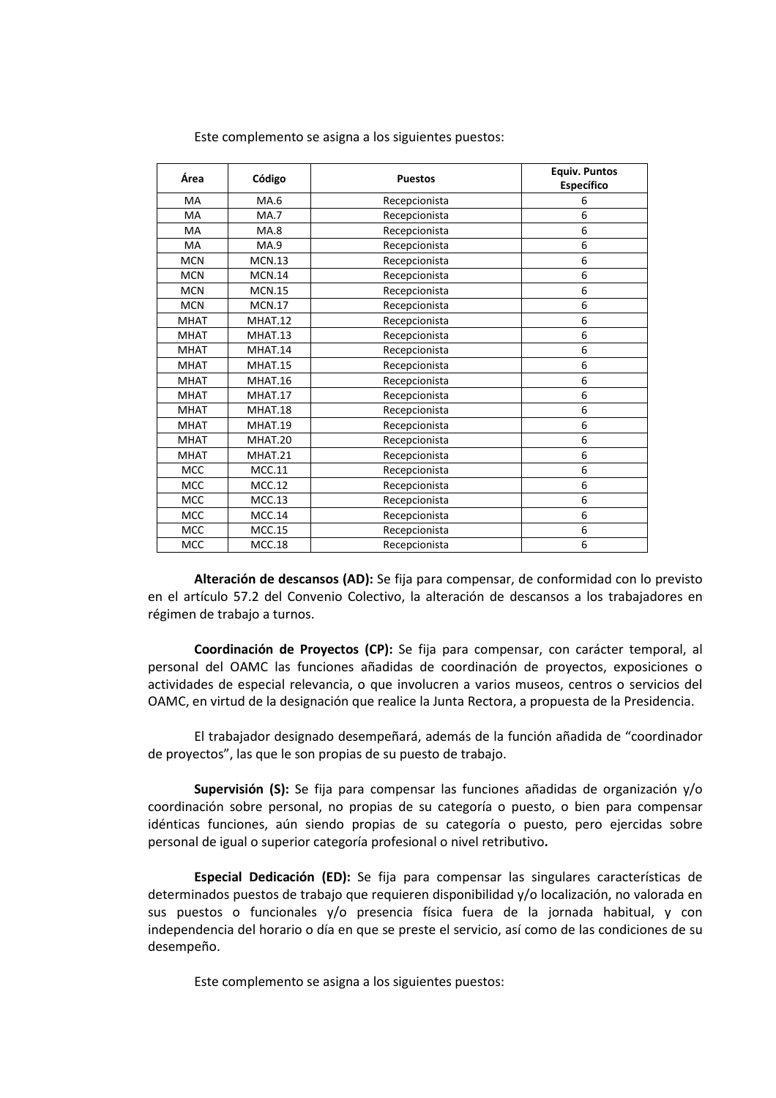| Área        | Código        | <b>Puestos</b> | <b>Equiv. Puntos</b><br>Específico |
|-------------|---------------|----------------|------------------------------------|
| MA          | MA.6          | Recepcionista  | 6                                  |
| MA          | <b>MA.7</b>   | Recepcionista  | 6                                  |
| MA          | <b>MA.8</b>   | Recepcionista  | 6                                  |
| MA          | <b>MA.9</b>   | Recepcionista  | 6                                  |
| <b>MCN</b>  | MCN.13        | Recepcionista  | 6                                  |
| <b>MCN</b>  | <b>MCN.14</b> | Recepcionista  | 6                                  |
| <b>MCN</b>  | <b>MCN.15</b> | Recepcionista  | 6                                  |
| <b>MCN</b>  | <b>MCN.17</b> | Recepcionista  | 6                                  |
| <b>MHAT</b> | MHAT.12       | Recepcionista  | 6                                  |
| <b>MHAT</b> | MHAT.13       | Recepcionista  | 6                                  |
| <b>MHAT</b> | MHAT.14       | Recepcionista  | 6                                  |
| <b>MHAT</b> | MHAT.15       | Recepcionista  | 6                                  |
| <b>MHAT</b> | MHAT.16       | Recepcionista  | 6                                  |
| <b>MHAT</b> | MHAT.17       | Recepcionista  | 6                                  |
| <b>MHAT</b> | MHAT.18       | Recepcionista  | 6                                  |
| <b>MHAT</b> | MHAT.19       | Recepcionista  | 6                                  |
| MHAT        | MHAT.20       | Recepcionista  | 6                                  |
| <b>MHAT</b> | MHAT.21       | Recepcionista  | 6                                  |
| <b>MCC</b>  | MCC.11        | Recepcionista  | 6                                  |
| <b>MCC</b>  | MCC.12        | Recepcionista  | 6                                  |
| <b>MCC</b>  | MCC.13        | Recepcionista  | 6                                  |
| <b>MCC</b>  | MCC.14        | Recepcionista  | 6                                  |
| MCC         | <b>MCC.15</b> | Recepcionista  | 6                                  |
| <b>MCC</b>  | <b>MCC.18</b> | Recepcionista  | 6                                  |

Este complemento se asigna a los siguientes puestos:

**Alteración de descansos (AD):** Se fija para compensar, de conformidad con lo previsto en el artículo 57.2 del Convenio Colectivo, la alteración de descansos a los trabajadores en régimen de trabajo a turnos.

**Coordinación de Proyectos (CP):** Se fija para compensar, con carácter temporal, al personal del OAMC las funciones añadidas de coordinación de proyectos, exposiciones o actividades de especial relevancia, o que involucren a varios museos, centros o servicios del OAMC, en virtud de la designación que realice la Junta Rectora, a propuesta de la Presidencia.

El trabajador designado desempeñará, además de la función añadida de "coordinador de proyectos", las que le son propias de su puesto de trabajo.

**Supervisión (S):** Se fija para compensar las funciones añadidas de organización y/o coordinación sobre personal, no propias de su categoría o puesto, o bien para compensar idénticas funciones, aún siendo propias de su categoría o puesto, pero ejercidas sobre personal de igual o superior categoría profesional o nivel retributivo**.** 

**Especial Dedicación (ED):** Se fija para compensar las singulares características de determinados puestos de trabajo que requieren disponibilidad y/o localización, no valorada en sus puestos o funcionales y/o presencia física fuera de la jornada habitual, y con independencia del horario o día en que se preste el servicio, así como de las condiciones de su desempeño.

Este complemento se asigna a los siguientes puestos: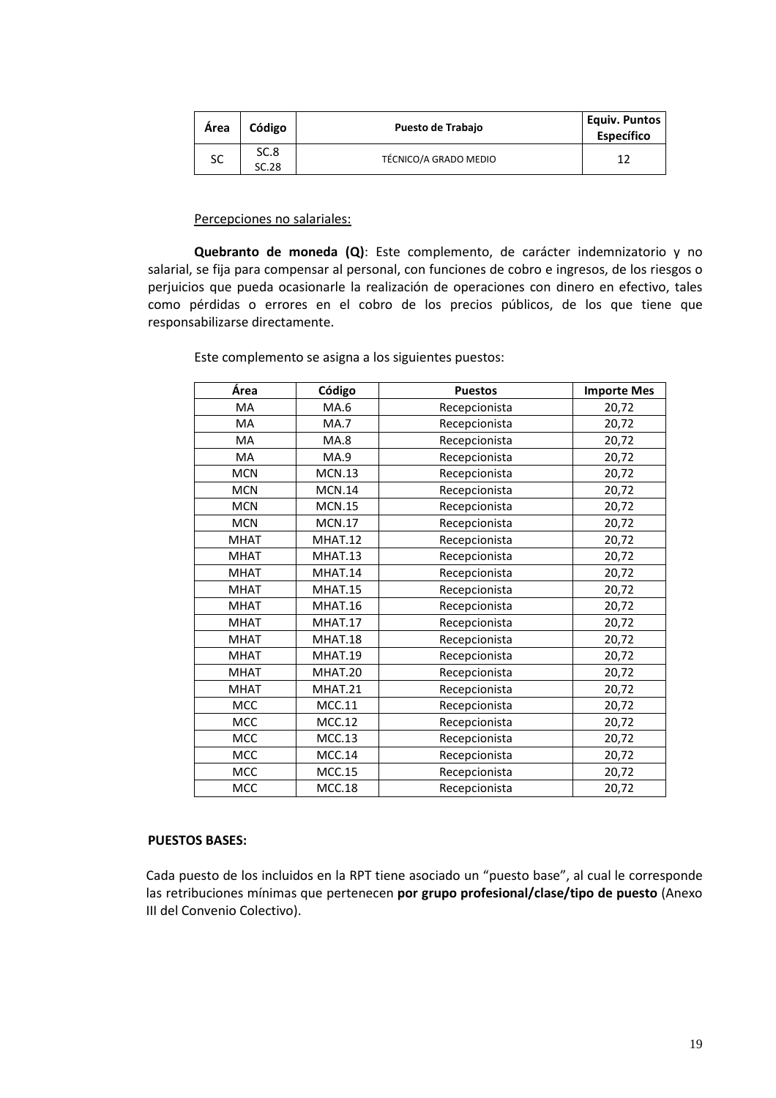| Area | Código        | <b>Puesto de Trabajo</b> | Equiv. Puntos<br><b>Específico</b> |
|------|---------------|--------------------------|------------------------------------|
| SC   | SC.8<br>SC.28 | TÉCNICO/A GRADO MEDIO    |                                    |

### Percepciones no salariales:

**Quebranto de moneda (Q)**: Este complemento, de carácter indemnizatorio y no salarial, se fija para compensar al personal, con funciones de cobro e ingresos, de los riesgos o perjuicios que pueda ocasionarle la realización de operaciones con dinero en efectivo, tales como pérdidas o errores en el cobro de los precios públicos, de los que tiene que responsabilizarse directamente.

| Área        | Código        | <b>Puestos</b> | <b>Importe Mes</b> |
|-------------|---------------|----------------|--------------------|
| MA          | MA.6          | Recepcionista  | 20,72              |
| MA          | <b>MA.7</b>   | Recepcionista  | 20,72              |
| <b>MA</b>   | MA.8          | Recepcionista  | 20,72              |
| <b>MA</b>   | MA.9          | Recepcionista  | 20,72              |
| <b>MCN</b>  | <b>MCN.13</b> | Recepcionista  | 20,72              |
| <b>MCN</b>  | <b>MCN.14</b> | Recepcionista  | 20,72              |
| <b>MCN</b>  | <b>MCN.15</b> | Recepcionista  | 20,72              |
| <b>MCN</b>  | <b>MCN.17</b> | Recepcionista  | 20,72              |
| <b>MHAT</b> | MHAT.12       | Recepcionista  | 20,72              |
| <b>MHAT</b> | MHAT.13       | Recepcionista  | 20,72              |
| <b>MHAT</b> | MHAT.14       | Recepcionista  | 20,72              |
| <b>MHAT</b> | MHAT.15       | Recepcionista  | 20,72              |
| <b>MHAT</b> | MHAT.16       | Recepcionista  | 20,72              |
| <b>MHAT</b> | MHAT.17       | Recepcionista  | 20,72              |
| <b>MHAT</b> | MHAT.18       | Recepcionista  | 20,72              |
| <b>MHAT</b> | MHAT.19       | Recepcionista  | 20,72              |
| <b>MHAT</b> | MHAT.20       | Recepcionista  | 20,72              |
| <b>MHAT</b> | MHAT.21       | Recepcionista  | 20,72              |
| MCC         | <b>MCC.11</b> | Recepcionista  | 20,72              |
| <b>MCC</b>  | MCC.12        | Recepcionista  | 20,72              |
| MCC         | <b>MCC.13</b> | Recepcionista  | 20,72              |
| MCC         | <b>MCC.14</b> | Recepcionista  | 20,72              |
| MCC         | <b>MCC.15</b> | Recepcionista  | 20,72              |
| MCC         | <b>MCC.18</b> | Recepcionista  | 20,72              |

Este complemento se asigna a los siguientes puestos:

### **PUESTOS BASES:**

Cada puesto de los incluidos en la RPT tiene asociado un "puesto base", al cual le corresponde las retribuciones mínimas que pertenecen **por grupo profesional/clase/tipo de puesto** (Anexo III del Convenio Colectivo).